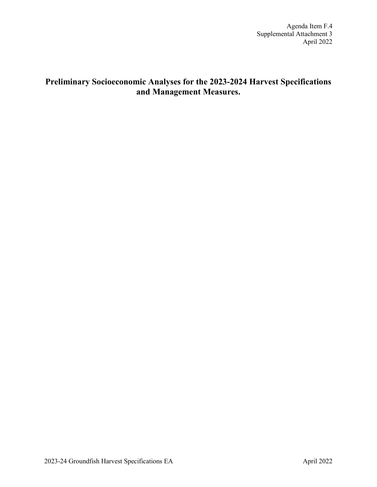**Preliminary Socioeconomic Analyses for the 2023-2024 Harvest Specifications and Management Measures.**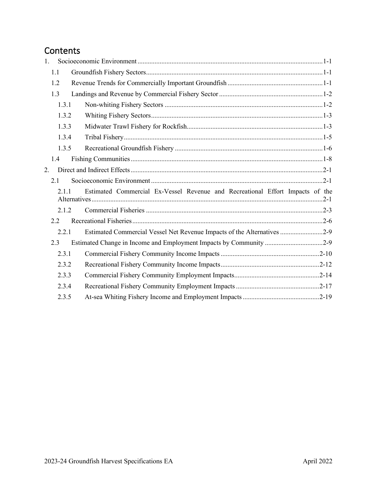# **Contents**

| 1. |       |                                                                               |  |
|----|-------|-------------------------------------------------------------------------------|--|
|    | 1.1   |                                                                               |  |
|    | 1.2   |                                                                               |  |
|    | 1.3   |                                                                               |  |
|    | 1.3.1 |                                                                               |  |
|    | 1.3.2 |                                                                               |  |
|    | 1.3.3 |                                                                               |  |
|    | 1.3.4 |                                                                               |  |
|    | 1.3.5 |                                                                               |  |
|    | 1.4   |                                                                               |  |
| 2. |       |                                                                               |  |
|    | 2.1   |                                                                               |  |
|    | 2.1.1 | Estimated Commercial Ex-Vessel Revenue and Recreational Effort Impacts of the |  |
|    | 2.1.2 |                                                                               |  |
|    | 2.2   |                                                                               |  |
|    | 2.2.1 | Estimated Commercial Vessel Net Revenue Impacts of the Alternatives 2-9       |  |
|    | 2.3   |                                                                               |  |
|    | 2.3.1 |                                                                               |  |
|    | 2.3.2 |                                                                               |  |
|    | 2.3.3 |                                                                               |  |
|    | 2.3.4 |                                                                               |  |
|    | 2.3.5 |                                                                               |  |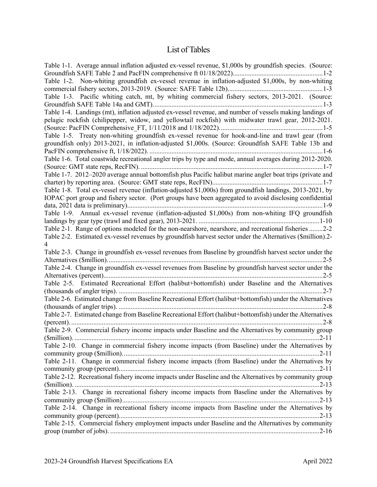# List of Tables

| Table 1-1. Average annual inflation adjusted ex-vessel revenue, \$1,000s by groundfish species. (Source:        |
|-----------------------------------------------------------------------------------------------------------------|
|                                                                                                                 |
| Table 1-2. Non-whiting groundfish ex-vessel revenue in inflation-adjusted \$1,000s, by non-whiting              |
|                                                                                                                 |
| Table 1-3. Pacific whiting catch, mt, by whiting commercial fishery sectors, 2013-2021. (Source:                |
|                                                                                                                 |
| Table 1-4. Landings (mt), inflation adjusted ex-vessel revenue, and number of vessels making landings of        |
| pelagic rockfish (chilipepper, widow, and yellowtail rockfish) with midwater trawl gear, 2012-2021.             |
|                                                                                                                 |
| Table 1-5. Treaty non-whiting groundfish ex-vessel revenue for hook-and-line and trawl gear (from               |
| groundfish only) 2013-2021, in inflation-adjusted \$1,000s. (Source: Groundfish SAFE Table 13b and              |
|                                                                                                                 |
| Table 1-6. Total coastwide recreational angler trips by type and mode, annual averages during 2012-2020.        |
|                                                                                                                 |
| Table 1-7. 2012-2020 average annual bottomfish plus Pacific halibut marine angler boat trips (private and       |
|                                                                                                                 |
| Table 1-8. Total ex-vessel revenue (inflation-adjusted \$1,000s) from groundfish landings, 2013-2021, by        |
| IOPAC port group and fishery sector. (Port groups have been aggregated to avoid disclosing confidential         |
|                                                                                                                 |
|                                                                                                                 |
| Table 1-9. Annual ex-vessel revenue (inflation-adjusted \$1,000s) from non-whiting IFQ groundfish               |
| Table 2-1. Range of options modeled for the non-nearshore, nearshore, and recreational fisheries 2-2            |
|                                                                                                                 |
| Table 2-2. Estimated ex-vessel revenues by groundfish harvest sector under the Alternatives (\$million).2-<br>4 |
| Table 2-3. Change in groundfish ex-vessel revenues from Baseline by groundfish harvest sector under the         |
|                                                                                                                 |
|                                                                                                                 |
|                                                                                                                 |
| Table 2-4. Change in groundfish ex-vessel revenues from Baseline by groundfish harvest sector under the         |
|                                                                                                                 |
| Table 2-5. Estimated Recreational Effort (halibut+bottomfish) under Baseline and the Alternatives               |
|                                                                                                                 |
| Table 2-6. Estimated change from Baseline Recreational Effort (halibut+bottomfish) under the Alternatives       |
|                                                                                                                 |
| Table 2-7. Estimated change from Baseline Recreational Effort (halibut+bottomfish) under the Alternatives       |
|                                                                                                                 |
| Table 2-9. Commercial fishery income impacts under Baseline and the Alternatives by community group             |
|                                                                                                                 |
| Table 2-10. Change in commercial fishery income impacts (from Baseline) under the Alternatives by               |
|                                                                                                                 |
| Table 2-11. Change in commercial fishery income impacts (from Baseline) under the Alternatives by               |
|                                                                                                                 |
| Table 2-12. Recreational fishery income impacts under Baseline and the Alternatives by community group          |
|                                                                                                                 |
| Table 2-13. Change in recreational fishery income impacts from Baseline under the Alternatives by               |
|                                                                                                                 |
| Table 2-14. Change in recreational fishery income impacts from Baseline under the Alternatives by               |
|                                                                                                                 |
| Table 2-15. Commercial fishery employment impacts under Baseline and the Alternatives by community              |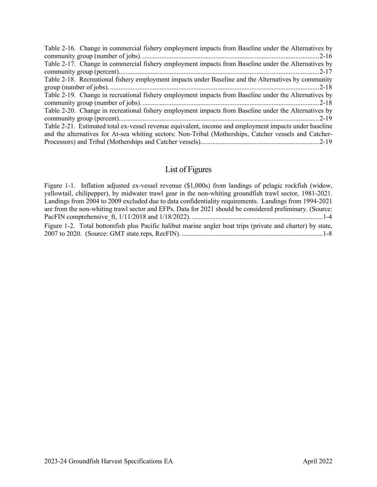| Table 2-16. Change in commercial fishery employment impacts from Baseline under the Alternatives by    |
|--------------------------------------------------------------------------------------------------------|
|                                                                                                        |
| Table 2-17. Change in commercial fishery employment impacts from Baseline under the Alternatives by    |
|                                                                                                        |
| Table 2-18. Recreational fishery employment impacts under Baseline and the Alternatives by community   |
|                                                                                                        |
| Table 2-19. Change in recreational fishery employment impacts from Baseline under the Alternatives by  |
|                                                                                                        |
| Table 2-20. Change in recreational fishery employment impacts from Baseline under the Alternatives by  |
|                                                                                                        |
| Table 2-21. Estimated total ex-vessel revenue equivalent, income and employment impacts under baseline |
| and the alternatives for At-sea whiting sectors: Non-Tribal (Motherships, Catcher vessels and Catcher- |
|                                                                                                        |
|                                                                                                        |

# List of Figures

| Figure 1-1. Inflation adjusted ex-vessel revenue (\$1,000s) from landings of pelagic rockfish (widow,       |
|-------------------------------------------------------------------------------------------------------------|
| yellowtail, chilipepper), by midwater trawl gear in the non-whiting groundfish trawl sector, 1981-2021.     |
| Landings from 2004 to 2009 excluded due to data confidentiality requirements. Landings from 1994-2021       |
| are from the non-whiting trawl sector and EFPs. Data for 2021 should be considered preliminary. (Source:    |
|                                                                                                             |
| Figure 1-2. Total bottom fish plus Pacific halibut marine angler boat trips (private and charter) by state, |
|                                                                                                             |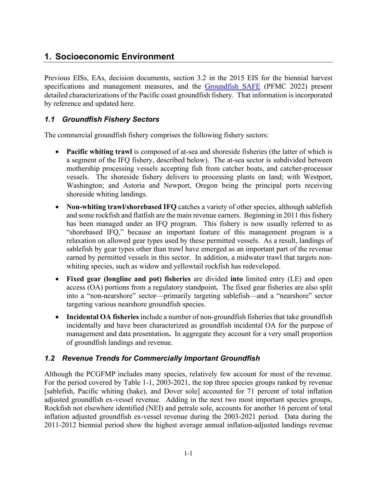# <span id="page-6-0"></span>**1. Socioeconomic Environment**

Previous EISs, EAs, decision documents, section 3.2 in the 2015 EIS for the biennial harvest specifications and management measures, and the [Groundfish SAFE](https://www.pcouncil.org/documents/2022/03/f-3-attachment-2-draft-status-of-the-pacific-coast-groundfish-fishery-stock-assessment-and-fishery-evaluation-electronic-only.pdf/) (PFMC 2022) present detailed characterizations of the Pacific coast groundfish fishery. That information is incorporated by reference and updated here.

# <span id="page-6-1"></span>*1.1 Groundfish Fishery Sectors*

The commercial groundfish fishery comprises the following fishery sectors:

- **Pacific whiting trawl** is composed of at-sea and shoreside fisheries (the latter of which is a segment of the IFQ fishery, described below). The at-sea sector is subdivided between mothership processing vessels accepting fish from catcher boats, and catcher-processor vessels. The shoreside fishery delivers to processing plants on land; with Westport, Washington; and Astoria and Newport, Oregon being the principal ports receiving shoreside whiting landings.
- **Non-whiting trawl/shorebased IFQ** catches a variety of other species, although sablefish and some rockfish and flatfish are the main revenue earners. Beginning in 2011 this fishery has been managed under an IFQ program. This fishery is now usually referred to as "shorebased IFQ," because an important feature of this management program is a relaxation on allowed gear types used by these permitted vessels. As a result, landings of sablefish by gear types other than trawl have emerged as an important part of the revenue earned by permitted vessels in this sector. In addition, a midwater trawl that targets nonwhiting species, such as widow and yellowtail rockfish has redeveloped.
- **Fixed gear (longline and pot) fisheries** are divided **into** limited entry (LE) and open access (OA) portions from a regulatory standpoint**.** The fixed gear fisheries are also split into a "non-nearshore" sector—primarily targeting sablefish—and a "nearshore" sector targeting various nearshore groundfish species.
- **Incidental OA fisheries** include a number of non-groundfish fisheries that take groundfish incidentally and have been characterized as groundfish incidental OA for the purpose of management and data presentation**.** In aggregate they account for a very small proportion of groundfish landings and revenue.

# <span id="page-6-2"></span>*1.2 Revenue Trends for Commercially Important Groundfish*

Although the PCGFMP includes many species, relatively few account for most of the revenue. For the period covered by [Table 1-1,](#page-7-2) 2003-2021, the top three species groups ranked by revenue [sablefish, Pacific whiting (hake), and Dover sole] accounted for 71 percent of total inflation adjusted groundfish ex-vessel revenue. Adding in the next two most important species groups, Rockfish not elsewhere identified (NEI) and petrale sole, accounts for another 16 percent of total inflation adjusted groundfish ex-vessel revenue during the 2003-2021 period. Data during the 2011-2012 biennial period show the highest average annual inflation-adjusted landings revenue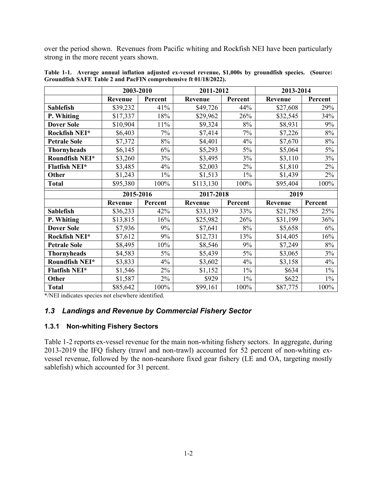over the period shown. Revenues from Pacific whiting and Rockfish NEI have been particularly strong in the more recent years shown.

|                      | 2003-2010 |         | 2011-2012 |         | 2013-2014 |         |  |
|----------------------|-----------|---------|-----------|---------|-----------|---------|--|
|                      | Revenue   | Percent | Revenue   | Percent | Revenue   | Percent |  |
| <b>Sablefish</b>     | \$39,232  | 41%     | \$49,726  | 44%     | \$27,608  | 29%     |  |
| P. Whiting           | \$17,337  | 18%     | \$29,962  | 26%     | \$32,545  | 34%     |  |
| <b>Dover Sole</b>    | \$10,904  | 11%     | \$9,324   | 8%      | \$8,931   | 9%      |  |
| Rockfish NEI*        | \$6,403   | 7%      | \$7,414   | 7%      | \$7,226   | 8%      |  |
| <b>Petrale Sole</b>  | \$7,372   | 8%      | \$4,401   | 4%      | \$7,670   | 8%      |  |
| <b>Thornyheads</b>   | \$6,145   | 6%      | \$5,293   | 5%      | \$5,064   | $5\%$   |  |
| Roundfish NEI*       | \$3,260   | $3\%$   | \$3,495   | 3%      | \$3,110   | $3\%$   |  |
| <b>Flatfish NEI*</b> | \$3,485   | 4%      | \$2,003   | 2%      | \$1,810   | $2\%$   |  |
| Other                | \$1,243   | $1\%$   | \$1,513   | $1\%$   | \$1,439   | $2\%$   |  |
| <b>Total</b>         | \$95,380  | 100%    | \$113,130 | 100%    | \$95,404  | 100%    |  |
|                      | 2015-2016 |         | 2017-2018 |         | 2019      |         |  |
|                      | Revenue   | Percent | Revenue   | Percent | Revenue   | Percent |  |
| <b>Sablefish</b>     | \$36,233  | 42%     | \$33,139  | 33%     | \$21,785  | 25%     |  |
| P. Whiting           | \$13,815  | 16%     | \$25,982  | 26%     | \$31,199  | 36%     |  |
| <b>Dover Sole</b>    | \$7,936   | 9%      | \$7,641   | 8%      | \$5,658   | 6%      |  |
| Rockfish NEI*        | \$7,612   | 9%      | \$12,731  | 13%     | \$14,405  | 16%     |  |
| <b>Petrale Sole</b>  | \$8,495   | 10%     | \$8,546   | 9%      | \$7,249   | 8%      |  |
| <b>Thornyheads</b>   | \$4,583   | 5%      | \$5,439   | 5%      | \$3,065   | 3%      |  |
| Roundfish NEI*       | \$3,833   | 4%      | \$3,602   | 4%      | \$3,158   | 4%      |  |
| <b>Flatfish NEI*</b> | \$1,546   | 2%      | \$1,152   | $1\%$   | \$634     | $1\%$   |  |
| Other                | \$1,587   | 2%      | \$929     | $1\%$   | \$622     | $1\%$   |  |
| <b>Total</b>         | \$85,642  | 100%    | \$99,161  | 100%    | \$87,775  | 100%    |  |

<span id="page-7-2"></span>**Table 1-1. Average annual inflation adjusted ex-vessel revenue, \$1,000s by groundfish species. (Source: Groundfish SAFE Table 2 and PacFIN comprehensive ft 01/18/2022).**

\*/NEI indicates species not elsewhere identified.

## <span id="page-7-0"></span>*1.3 Landings and Revenue by Commercial Fishery Sector*

### <span id="page-7-1"></span>**1.3.1 Non-whiting Fishery Sectors**

[Table 1-2](#page-8-2) reports ex-vessel revenue for the main non-whiting fishery sectors. In aggregate, during 2013-2019 the IFQ fishery (trawl and non-trawl) accounted for 52 percent of non-whiting exvessel revenue, followed by the non-nearshore fixed gear fishery (LE and OA, targeting mostly sablefish) which accounted for 31 percent.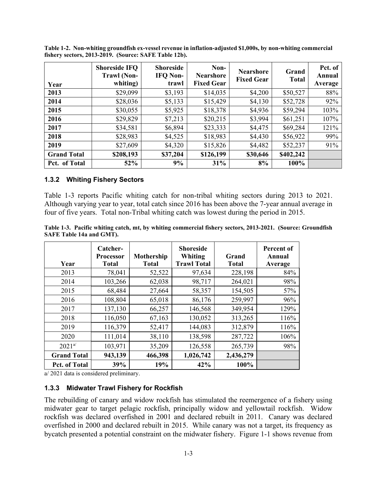| Year               | <b>Shoreside IFQ</b><br><b>Trawl</b> (Non-<br>whiting) | <b>Shoreside</b><br><b>IFQ Non-</b><br>trawl | Non-<br><b>Nearshore</b><br><b>Fixed Gear</b> | <b>Nearshore</b><br><b>Fixed Gear</b> | Grand<br><b>Total</b> | Pct. of<br>Annual<br>Average |
|--------------------|--------------------------------------------------------|----------------------------------------------|-----------------------------------------------|---------------------------------------|-----------------------|------------------------------|
| 2013               | \$29,099                                               | \$3,193                                      | \$14,035                                      | \$4,200                               | \$50,527              | 88%                          |
| 2014               | \$28,036                                               | \$5,133                                      | \$15,429                                      | \$4,130                               | \$52,728              | 92%                          |
| 2015               | \$30,055                                               | \$5,925                                      | \$18,378                                      | \$4,936                               | \$59,294              | 103%                         |
| 2016               | \$29,829                                               | \$7,213                                      | \$20,215                                      | \$3,994                               | \$61,251              | 107%                         |
| 2017               | \$34,581                                               | \$6,894                                      | \$23,333                                      | \$4,475                               | \$69,284              | 121%                         |
| 2018               | \$28,983                                               | \$4,525                                      | \$18,983                                      | \$4,430                               | \$56,922              | 99%                          |
| 2019               | \$27,609                                               | \$4,320                                      | \$15,826                                      | \$4,482                               | \$52,237              | 91%                          |
| <b>Grand Total</b> | \$208,193                                              | \$37,204                                     | \$126,199                                     | \$30,646                              | \$402,242             |                              |
| Pct. of Total      | 52%                                                    | 9%                                           | 31%                                           | 8%                                    | 100%                  |                              |

<span id="page-8-2"></span>**Table 1-2. Non-whiting groundfish ex-vessel revenue in inflation-adjusted \$1,000s, by non-whiting commercial fishery sectors, 2013-2019. (Source: SAFE Table 12b).**

### <span id="page-8-0"></span>**1.3.2 Whiting Fishery Sectors**

[Table 1-3](#page-8-3) reports Pacific whiting catch for non-tribal whiting sectors during 2013 to 2021. Although varying year to year, total catch since 2016 has been above the 7-year annual average in four of five years. Total non-Tribal whiting catch was lowest during the period in 2015.

<span id="page-8-3"></span>

| Table 1-3. Pacific whiting catch, mt, by whiting commercial fishery sectors, 2013-2021. (Source: Groundfish |  |  |  |
|-------------------------------------------------------------------------------------------------------------|--|--|--|
| SAFE Table 14a and GMT).                                                                                    |  |  |  |

| Year                 | Catcher-<br><b>Processor</b><br><b>Total</b> | Mothership<br><b>Total</b> | <b>Shoreside</b><br>Whiting<br><b>Trawl Total</b> | Grand<br><b>Total</b> | Percent of<br>Annual<br>Average |
|----------------------|----------------------------------------------|----------------------------|---------------------------------------------------|-----------------------|---------------------------------|
| 2013                 | 78,041                                       | 52,522                     | 97,634                                            | 228,198               | 84%                             |
| 2014                 | 103,266                                      | 62,038                     | 98,717                                            | 264,021               | 98%                             |
| 2015                 | 68,484                                       | 27,664                     | 58,357                                            | 154,505               | 57%                             |
| 2016                 | 108,804                                      | 65,018                     | 86,176                                            | 259,997               | 96%                             |
| 2017                 | 137,130                                      | 66,257                     | 146,568                                           | 349,954               | 129%                            |
| 2018                 | 116,050                                      | 67,163                     | 130,052                                           | 313,265               | 116%                            |
| 2019                 | 116,379                                      | 52,417                     | 144,083                                           | 312,879               | 116%                            |
| 2020                 | 111,014                                      | 38,110                     | 138,598                                           | 287,722               | 106%                            |
| $2021^{a/}$          | 103,971                                      | 35,209                     | 126,558                                           | 265,739               | 98%                             |
| <b>Grand Total</b>   | 943,139                                      | 466,398                    | 1,026,742                                         | 2,436,279             |                                 |
| <b>Pct. of Total</b> | 39%                                          | 19%                        | 42%                                               | 100%                  |                                 |

a/ 2021 data is considered preliminary.

### <span id="page-8-1"></span>**1.3.3 Midwater Trawl Fishery for Rockfish**

The rebuilding of canary and widow rockfish has stimulated the reemergence of a fishery using midwater gear to target pelagic rockfish, principally widow and yellowtail rockfish. Widow rockfish was declared overfished in 2001 and declared rebuilt in 2011. Canary was declared overfished in 2000 and declared rebuilt in 2015. While canary was not a target, its frequency as bycatch presented a potential constraint on the midwater fishery. [Figure 1-1](#page-9-0) shows revenue from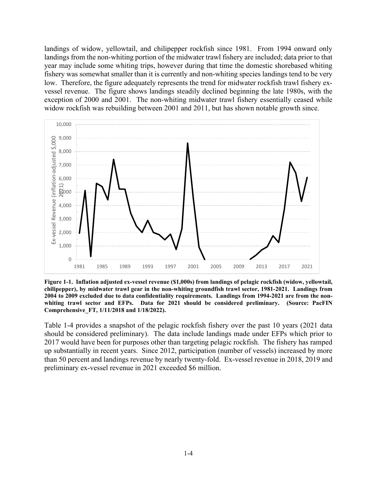landings of widow, yellowtail, and chilipepper rockfish since 1981. From 1994 onward only landings from the non-whiting portion of the midwater trawl fishery are included; data prior to that year may include some whiting trips, however during that time the domestic shorebased whiting fishery was somewhat smaller than it is currently and non-whiting species landings tend to be very low. Therefore, the figure adequately represents the trend for midwater rockfish trawl fishery exvessel revenue. The figure shows landings steadily declined beginning the late 1980s, with the exception of 2000 and 2001. The non-whiting midwater trawl fishery essentially ceased while widow rockfish was rebuilding between 2001 and 2011, but has shown notable growth since.



<span id="page-9-0"></span>**Figure 1-1. Inflation adjusted ex-vessel revenue (\$1,000s) from landings of pelagic rockfish (widow, yellowtail, chilipepper), by midwater trawl gear in the non-whiting groundfish trawl sector, 1981-2021. Landings from 2004 to 2009 excluded due to data confidentiality requirements. Landings from 1994-2021 are from the nonwhiting trawl sector and EFPs. Data for 2021 should be considered preliminary. (Source: PacFIN Comprehensive\_FT, 1/11/2018 and 1/18/2022).**

[Table 1-4](#page-10-1) provides a snapshot of the pelagic rockfish fishery over the past 10 years (2021 data should be considered preliminary). The data include landings made under EFPs which prior to 2017 would have been for purposes other than targeting pelagic rockfish. The fishery has ramped up substantially in recent years. Since 2012, participation (number of vessels) increased by more than 50 percent and landings revenue by nearly twenty-fold. Ex-vessel revenue in 2018, 2019 and preliminary ex-vessel revenue in 2021 exceeded \$6 million.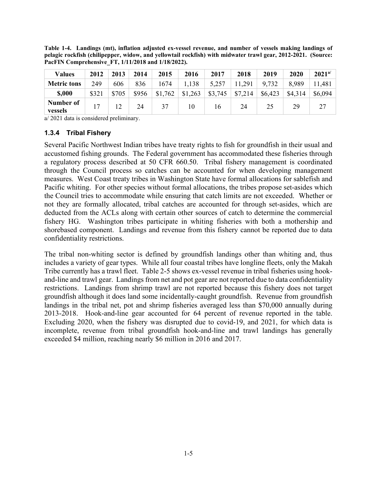<span id="page-10-1"></span>**Table 1-4. Landings (mt), inflation adjusted ex-vessel revenue, and number of vessels making landings of pelagic rockfish (chilipepper, widow, and yellowtail rockfish) with midwater trawl gear, 2012-2021. (Source: PacFIN Comprehensive\_FT, 1/11/2018 and 1/18/2022).**

| Values               | 2012  | 2013  | 2014  | 2015    | 2016    | 2017    | 2018    | 2019    | 2020    | $2021^{a/}$ |
|----------------------|-------|-------|-------|---------|---------|---------|---------|---------|---------|-------------|
| <b>Metric tons</b>   | 249   | 606   | 836   | 1674    | 1,138   | 5,257   | ,291    | 9,732   | 8,989   | .1,481      |
| \$,000               | \$321 | \$705 | \$956 | \$1,762 | \$1,263 | \$3,745 | \$7,214 | \$6,423 | \$4,314 | \$6,094     |
| Number of<br>vessels | 17    |       | 24    | 37      | 10      | 16      | 24      | 25      | 29      | 27          |

a/ 2021 data is considered preliminary.

### <span id="page-10-0"></span>**1.3.4 Tribal Fishery**

Several Pacific Northwest Indian tribes have treaty rights to fish for groundfish in their usual and accustomed fishing grounds. The Federal government has accommodated these fisheries through a regulatory process described at 50 CFR 660.50. Tribal fishery management is coordinated through the Council process so catches can be accounted for when developing management measures. West Coast treaty tribes in Washington State have formal allocations for sablefish and Pacific whiting. For other species without formal allocations, the tribes propose set-asides which the Council tries to accommodate while ensuring that catch limits are not exceeded. Whether or not they are formally allocated, tribal catches are accounted for through set-asides, which are deducted from the ACLs along with certain other sources of catch to determine the commercial fishery HG. Washington tribes participate in whiting fisheries with both a mothership and shorebased component. Landings and revenue from this fishery cannot be reported due to data confidentiality restrictions.

The tribal non-whiting sector is defined by groundfish landings other than whiting and, thus includes a variety of gear types. While all four coastal tribes have longline fleets, only the Makah Tribe currently has a trawl fleet. [Table 2-5](#page-22-0) shows ex-vessel revenue in tribal fisheries using hookand-line and trawl gear. Landings from net and pot gear are not reported due to data confidentiality restrictions. Landings from shrimp trawl are not reported because this fishery does not target groundfish although it does land some incidentally-caught groundfish. Revenue from groundfish landings in the tribal net, pot and shrimp fisheries averaged less than \$70,000 annually during 2013-2018. Hook-and-line gear accounted for 64 percent of revenue reported in the table. Excluding 2020, when the fishery was disrupted due to covid-19, and 2021, for which data is incomplete, revenue from tribal groundfish hook-and-line and trawl landings has generally exceeded \$4 million, reaching nearly \$6 million in 2016 and 2017.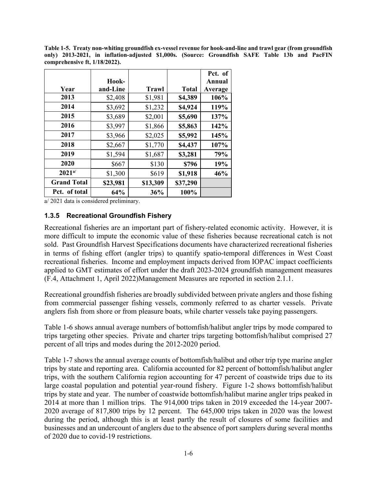| Year | Hook-<br>and-Line | <b>Trawl</b> | <b>Total</b> | Pct. of<br>Annual<br>Average |
|------|-------------------|--------------|--------------|------------------------------|
| 2013 | \$2,408           | \$1,981      | \$4,389      | 106%                         |
| 2014 | \$3,692           | \$1,232      | \$4,924      | 119%                         |
| 2015 | \$3,689           | \$2,001      | \$5,690      | 137%                         |
| 2016 | \$3,997           | \$1,866      | \$5,863      | 142%                         |
| 2017 | \$3,966           | \$2,025      | \$5,992      | 145%                         |
| 2018 | \$2,667           | \$1,770      | \$4,437      | 107%                         |
| 2019 | \$1,594           | \$1,687      | \$3,281      | 79%                          |

**2020 \$667 \$130 \$796 19% 2021<sup>a</sup>'** | \$1,300 | \$619 | \$1,918 | 46%

<span id="page-11-1"></span>**Table 1-5. Treaty non-whiting groundfish ex-vessel revenue for hook-and-line and trawl gear (from groundfish only) 2013-2021, in inflation-adjusted \$1,000s. (Source: Groundfish SAFE Table 13b and PacFIN** 

a/ 2021 data is considered preliminary.

#### <span id="page-11-0"></span>**1.3.5 Recreational Groundfish Fishery**

Grand Total **\$23,981 \$13,309 \$37,290 Pct. of total 64% 36% 100%**

Recreational fisheries are an important part of fishery-related economic activity. However, it is more difficult to impute the economic value of these fisheries because recreational catch is not sold. Past Groundfish Harvest Specifications documents have characterized recreational fisheries in terms of fishing effort (angler trips) to quantify spatio-temporal differences in West Coast recreational fisheries. Income and employment impacts derived from IOPAC impact coefficients applied to GMT estimates of effort under the draft 2023-2024 groundfish management measures (F.4, Attachment 1, April 2022)Management Measures are reported in section [2.1.1.](#page-16-2)

Recreational groundfish fisheries are broadly subdivided between private anglers and those fishing from commercial passenger fishing vessels, commonly referred to as charter vessels. Private anglers fish from shore or from pleasure boats, while charter vessels take paying passengers.

[Table 1-6](#page-12-0) shows annual average numbers of bottomfish/halibut angler trips by mode compared to trips targeting other species. Private and charter trips targeting bottomfish/halibut comprised 27 percent of all trips and modes during the 2012-2020 period.

[Table](#page-12-2) 1-7 shows the annual average counts of bottomfish/halibut and other trip type marine angler trips by state and reporting area. California accounted for 82 percent of bottomfish/halibut angler trips, with the southern California region accounting for 47 percent of coastwide trips due to its large coastal population and potential year-round fishery. [Figure 1-2](#page-13-1) shows bottomfish/halibut trips by state and year. The number of coastwide bottomfish/halibut marine angler trips peaked in 2014 at more than 1 million trips. The 914,000 trips taken in 2019 exceeded the 14-year 2007- 2020 average of 817,800 trips by 12 percent. The 645,000 trips taken in 2020 was the lowest during the period, although this is at least partly the result of closures of some facilities and businesses and an undercount of anglers due to the absence of port samplers during several months of 2020 due to covid-19 restrictions.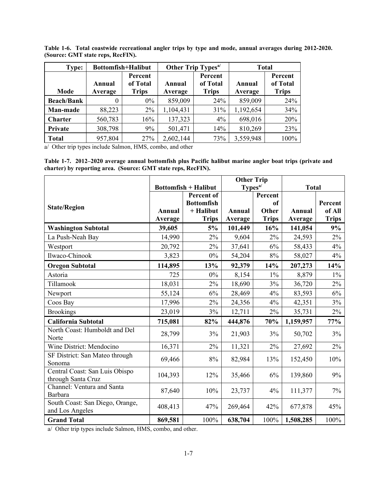| Type:             |                                                          | Bottomfish+Halibut | Other Trip Types <sup>a/</sup> |                                     | <b>Total</b>      |                                     |  |
|-------------------|----------------------------------------------------------|--------------------|--------------------------------|-------------------------------------|-------------------|-------------------------------------|--|
| Mode              | Percent<br>of Total<br>Annual<br><b>Trips</b><br>Average |                    | Annual<br>Average              | Percent<br>of Total<br><b>Trips</b> | Annual<br>Average | Percent<br>of Total<br><b>Trips</b> |  |
| <b>Beach/Bank</b> | 0                                                        | $0\%$              | 859,009                        | 24%                                 | 859,009           | 24%                                 |  |
| Man-made          | 88,223                                                   | $2\%$              | 1,104,431                      | 31%                                 | 1,192,654         | 34%                                 |  |
| <b>Charter</b>    | 560,783                                                  | 16%                | 137,323                        | $4\%$                               | 698,016           | 20%                                 |  |
| Private           | 308,798                                                  | 9%                 | 501,471                        | 14%                                 | 810,269           | 23%                                 |  |
| <b>Total</b>      | 957,804                                                  | 27%                | 2,602,144                      | 73%                                 | 3,559,948         | 100%                                |  |

<span id="page-12-0"></span>**Table 1-6. Total coastwide recreational angler trips by type and mode, annual averages during 2012-2020. (Source: GMT state reps, RecFIN).**

<span id="page-12-2"></span>a/ Other trip types include Salmon, HMS, combo, and other

<span id="page-12-1"></span>**Table 1-7. 2012–2020 average annual bottomfish plus Pacific halibut marine angler boat trips (private and charter) by reporting area. (Source: GMT state reps, RecFIN).**

|                                        |         |                             | <b>Other Trip</b>   |              |               |              |
|----------------------------------------|---------|-----------------------------|---------------------|--------------|---------------|--------------|
|                                        |         | <b>Bottomfish + Halibut</b> | Types <sup>a/</sup> |              | <b>Total</b>  |              |
|                                        |         | Percent of                  |                     | Percent      |               |              |
| <b>State/Region</b>                    |         | <b>Bottomfish</b>           |                     | of           |               | Percent      |
|                                        | Annual  | + Halibut                   | <b>Annual</b>       | <b>Other</b> | <b>Annual</b> | of All       |
|                                        | Average | <b>Trips</b>                | Average             | <b>Trips</b> | Average       | <b>Trips</b> |
| <b>Washington Subtotal</b>             | 39,605  | 5%                          | 101,449             | 16%          | 141,054       | 9%           |
| La Push-Neah Bay                       | 14,990  | 2%                          | 9,604               | $2\%$        | 24,593        | 2%           |
| Westport                               | 20,792  | $2\%$                       | 37,641              | 6%           | 58,433        | 4%           |
| Ilwaco-Chinook                         | 3,823   | $0\%$                       | 54,204              | $8\%$        | 58,027        | 4%           |
| <b>Oregon Subtotal</b>                 | 114,895 | 13%                         | 92,379              | 14%          | 207,273       | 14%          |
| Astoria                                | 725     | $0\%$                       | 8,154               | $1\%$        | 8,879         | $1\%$        |
| Tillamook                              | 18,031  | 2%                          | 18,690              | 3%           | 36,720        | $2\%$        |
| Newport                                | 55,124  | 6%                          | 28,469              | 4%           | 83,593        | $6\%$        |
| Coos Bay                               | 17,996  | 2%                          | 24,356              | 4%           | 42,351        | 3%           |
| <b>Brookings</b>                       | 23,019  | 3%                          | 12,711              | $2\%$        | 35,731        | $2\%$        |
| <b>California Subtotal</b>             | 715,081 | 82%                         | 444,876             | 70%          | 1,159,957     | 77%          |
| North Coast: Humboldt and Del<br>Norte | 28,799  | 3%                          | 21,903              | 3%           | 50,702        | $3\%$        |
| Wine District: Mendocino               | 16,371  | 2%                          | 11,321              | 2%           | 27,692        | 2%           |
| SF District: San Mateo through         | 69,466  | 8%                          | 82,984              | 13%          | 152,450       | 10%          |
| Sonoma                                 |         |                             |                     |              |               |              |
| Central Coast: San Luis Obispo         | 104,393 | 12%                         | 35,466              | $6\%$        | 139,860       | 9%           |
| through Santa Cruz                     |         |                             |                     |              |               |              |
| Channel: Ventura and Santa<br>Barbara  | 87,640  | 10%                         | 23,737              | 4%           | 111,377       | $7\%$        |
| South Coast: San Diego, Orange,        | 408,413 | 47%                         | 269,464             | 42%          | 677,878       | 45%          |
| and Los Angeles                        |         |                             |                     |              |               |              |
| <b>Grand Total</b>                     | 869,581 | 100%                        | 638,704             | 100%         | 1,508,285     | 100%         |

a/ Other trip types include Salmon, HMS, combo, and other.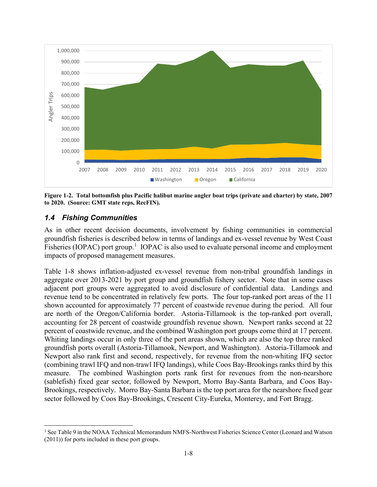

<span id="page-13-1"></span>**Figure 1-2. Total bottomfish plus Pacific halibut marine angler boat trips (private and charter) by state, 2007 to 2020. (Source: GMT state reps, RecFIN).**

## <span id="page-13-0"></span>*1.4 Fishing Communities*

As in other recent decision documents, involvement by fishing communities in commercial groundfish fisheries is described below in terms of landings and ex-vessel revenue by West Coast Fisheries (IOPAC) port group.<sup>[1](#page-13-2)</sup> IOPAC is also used to evaluate personal income and employment impacts of proposed management measures.

[Table 1-8](#page-14-0) shows inflation-adjusted ex-vessel revenue from non-tribal groundfish landings in aggregate over 2013-2021 by port group and groundfish fishery sector. Note that in some cases adjacent port groups were aggregated to avoid disclosure of confidential data. Landings and revenue tend to be concentrated in relatively few ports. The four top-ranked port areas of the 11 shown accounted for approximately 77 percent of coastwide revenue during the period. All four are north of the Oregon/California border. Astoria-Tillamook is the top-ranked port overall, accounting for 28 percent of coastwide groundfish revenue shown. Newport ranks second at 22 percent of coastwide revenue, and the combined Washington port groups come third at 17 percent. Whiting landings occur in only three of the port areas shown, which are also the top three ranked groundfish ports overall (Astoria-Tillamook, Newport, and Washington). Astoria-Tillamook and Newport also rank first and second, respectively, for revenue from the non-whiting IFQ sector (combining trawl IFQ and non-trawl IFQ landings), while Coos Bay-Brookings ranks third by this measure. The combined Washington ports rank first for revenues from the non-nearshore (sablefish) fixed gear sector, followed by Newport, Morro Bay-Santa Barbara, and Coos Bay-Brookings, respectively. Morro Bay-Santa Barbara is the top port area for the nearshore fixed gear sector followed by Coos Bay-Brookings, Crescent City-Eureka, Monterey, and Fort Bragg.

<span id="page-13-2"></span><sup>&</sup>lt;sup>1</sup> See Table 9 in the NOAA Technical Memorandum NMFS-Northwest Fisheries Science Center (Leonard and Watson (2011)) for ports included in these port groups.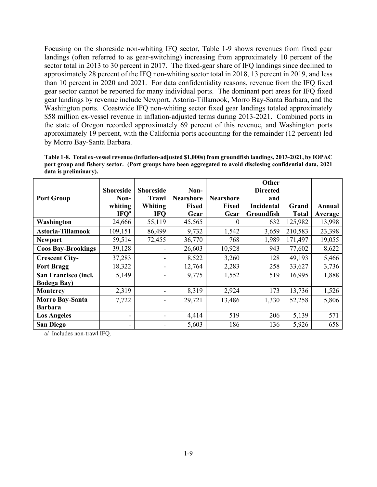Focusing on the shoreside non-whiting IFQ sector, [Table 1-9](#page-15-0) shows revenues from fixed gear landings (often referred to as gear-switching) increasing from approximately 10 percent of the sector total in 2013 to 30 percent in 2017. The fixed-gear share of IFQ landings since declined to approximately 28 percent of the IFQ non-whiting sector total in 2018, 13 percent in 2019, and less than 10 percent in 2020 and 2021. For data confidentiality reasons, revenue from the IFQ fixed gear sector cannot be reported for many individual ports. The dominant port areas for IFQ fixed gear landings by revenue include Newport, Astoria-Tillamook, Morro Bay-Santa Barbara, and the Washington ports. Coastwide IFQ non-whiting sector fixed gear landings totaled approximately \$58 million ex-vessel revenue in inflation-adjusted terms during 2013-2021. Combined ports in the state of Oregon recorded approximately 69 percent of this revenue, and Washington ports approximately 19 percent, with the California ports accounting for the remainder (12 percent) led by Morro Bay-Santa Barbara.

<span id="page-14-0"></span>**Table 1-8. Total ex-vessel revenue (inflation-adjusted \$1,000s) from groundfish landings, 2013-2021, by IOPAC port group and fishery sector. (Port groups have been aggregated to avoid disclosing confidential data, 2021 data is preliminary).**

|                           |                  |                  |                  |                  | Other             |              |         |
|---------------------------|------------------|------------------|------------------|------------------|-------------------|--------------|---------|
|                           | <b>Shoreside</b> | <b>Shoreside</b> | Non-             |                  | <b>Directed</b>   |              |         |
| <b>Port Group</b>         | Non-             | <b>Trawl</b>     | <b>Nearshore</b> | <b>Nearshore</b> | and               |              |         |
|                           | whiting          | Whiting          | <b>Fixed</b>     | Fixed            | <b>Incidental</b> | Grand        | Annual  |
|                           | IFQ <sup>a</sup> | <b>IFQ</b>       | Gear             | Gear             | Groundfish        | <b>Total</b> | Average |
| Washington                | 24,666           | 55,119           | 45,565           | $_{0}$           | 632               | 125,982      | 13,998  |
| Astoria-Tillamook         | 109,151          | 86,499           | 9,732            | 1,542            | 3,659             | 210,583      | 23,398  |
| <b>Newport</b>            | 59,514           | 72,455           | 36,770           | 768              | 1,989             | 171,497      | 19,055  |
| <b>Coos Bay-Brookings</b> | 39,128           |                  | 26,603           | 10,928           | 943               | 77,602       | 8,622   |
| <b>Crescent City-</b>     | 37,283           |                  | 8,522            | 3,260            | 128               | 49,193       | 5,466   |
| <b>Fort Bragg</b>         | 18,322           |                  | 12,764           | 2,283            | 258               | 33,627       | 3,736   |
| San Francisco (incl.      | 5,149            |                  | 9,775            | 1,552            | 519               | 16,995       | 1,888   |
| <b>Bodega Bay)</b>        |                  |                  |                  |                  |                   |              |         |
| <b>Monterey</b>           | 2,319            |                  | 8,319            | 2,924            | 173               | 13,736       | 1,526   |
| <b>Morro Bay-Santa</b>    | 7,722            |                  | 29,721           | 13,486           | 1,330             | 52,258       | 5,806   |
| <b>Barbara</b>            |                  |                  |                  |                  |                   |              |         |
| <b>Los Angeles</b>        | -                |                  | 4,414            | 519              | 206               | 5,139        | 571     |
| <b>San Diego</b>          |                  |                  | 5,603            | 186              | 136               | 5,926        | 658     |

a/ Includes non-trawl IFQ.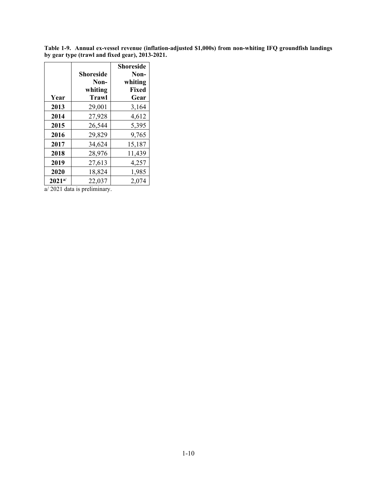<span id="page-15-0"></span>**Table 1-9. Annual ex-vessel revenue (inflation-adjusted \$1,000s) from non-whiting IFQ groundfish landings by gear type (trawl and fixed gear), 2013-2021.**

|             |              | Shoreside    |
|-------------|--------------|--------------|
|             | Shoreside    | Non-         |
|             | Non-         | whiting      |
|             | whiting      | <b>Fixed</b> |
| Year        | <b>Trawl</b> | Gear         |
| 2013        | 29,001       | 3,164        |
| 2014        | 27,928       | 4,612        |
| 2015        | 26,544       | 5,395        |
| 2016        | 29,829       | 9,765        |
| 2017        | 34,624       | 15,187       |
| 2018        | 28,976       | 11,439       |
| 2019        | 27,613       | 4,257        |
| 2020        | 18,824       | 1,985        |
| $2021^{a/}$ | 22,037       | 2,074        |

a/ 2021 data is preliminary.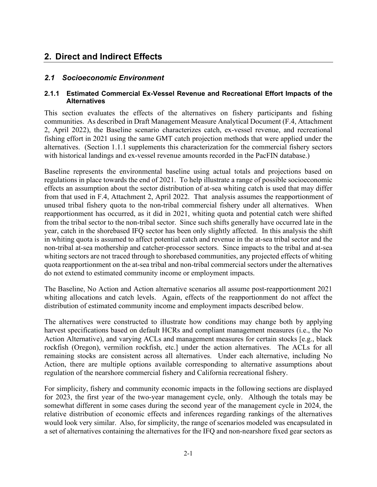# <span id="page-16-0"></span>**2. Direct and Indirect Effects**

## <span id="page-16-1"></span>*2.1 Socioeconomic Environment*

### <span id="page-16-2"></span>**2.1.1 Estimated Commercial Ex-Vessel Revenue and Recreational Effort Impacts of the Alternatives**

This section evaluates the effects of the alternatives on fishery participants and fishing communities. As described in Draft Management Measure Analytical Document (F.4, Attachment 2, April 2022), the Baseline scenario characterizes catch, ex-vessel revenue, and recreational fishing effort in 2021 using the same GMT catch projection methods that were applied under the alternatives. (Section [1.1.1](#page-6-1) supplements this characterization for the commercial fishery sectors with historical landings and ex-vessel revenue amounts recorded in the PacFIN database.)

Baseline represents the environmental baseline using actual totals and projections based on regulations in place towards the end of 2021. To help illustrate a range of possible socioeconomic effects an assumption about the sector distribution of at-sea whiting catch is used that may differ from that used in F.4, Attachment 2, April 2022. That analysis assumes the reapportionment of unused tribal fishery quota to the non-tribal commercial fishery under all alternatives. When reapportionment has occurred, as it did in 2021, whiting quota and potential catch were shifted from the tribal sector to the non-tribal sector. Since such shifts generally have occurred late in the year, catch in the shorebased IFQ sector has been only slightly affected. In this analysis the shift in whiting quota is assumed to affect potential catch and revenue in the at-sea tribal sector and the non-tribal at-sea mothership and catcher-processor sectors. Since impacts to the tribal and at-sea whiting sectors are not traced through to shorebased communities, any projected effects of whiting quota reapportionment on the at-sea tribal and non-tribal commercial sectors under the alternatives do not extend to estimated community income or employment impacts.

The Baseline, No Action and Action alternative scenarios all assume post-reapportionment 2021 whiting allocations and catch levels. Again, effects of the reapportionment do not affect the distribution of estimated community income and employment impacts described below.

The alternatives were constructed to illustrate how conditions may change both by applying harvest specifications based on default HCRs and compliant management measures (i.e., the No Action Alternative), and varying ACLs and management measures for certain stocks [e.g., black rockfish (Oregon), vermilion rockfish, etc.] under the action alternatives. The ACLs for all remaining stocks are consistent across all alternatives. Under each alternative, including No Action, there are multiple options available corresponding to alternative assumptions about regulation of the nearshore commercial fishery and California recreational fishery.

For simplicity, fishery and community economic impacts in the following sections are displayed for 2023, the first year of the two-year management cycle, only. Although the totals may be somewhat different in some cases during the second year of the management cycle in 2024, the relative distribution of economic effects and inferences regarding rankings of the alternatives would look very similar. Also, for simplicity, the range of scenarios modeled was encapsulated in a set of alternatives containing the alternatives for the IFQ and non-nearshore fixed gear sectors as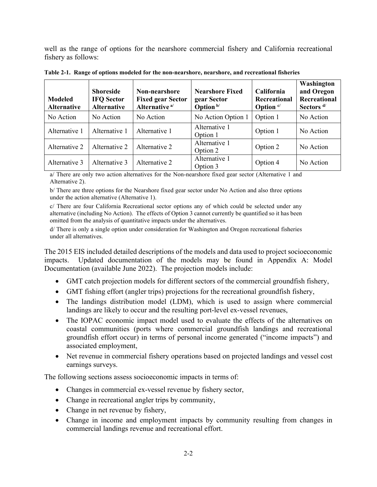well as the range of options for the nearshore commercial fishery and California recreational fishery as follows:

| <b>Modeled</b><br><b>Alternative</b> | <b>Shoreside</b><br><b>IFQ Sector</b><br><b>Alternative</b> | Non-nearshore<br><b>Fixed gear Sector</b><br>Alternative <sup>a/</sup> | <b>Nearshore Fixed</b><br>gear Sector<br>Option $b$ | California<br>Recreational<br>Option $c/$ | Washington<br>and Oregon<br><b>Recreational</b><br>Sectors $\mathbf{d}$ |
|--------------------------------------|-------------------------------------------------------------|------------------------------------------------------------------------|-----------------------------------------------------|-------------------------------------------|-------------------------------------------------------------------------|
| No Action                            | No Action                                                   | No Action                                                              | No Action Option 1                                  | Option 1                                  | No Action                                                               |
| Alternative 1                        | Alternative 1                                               | Alternative 1                                                          | Alternative 1<br>Option 1                           | Option 1                                  | No Action                                                               |
| Alternative 2                        | Alternative 2                                               | Alternative 2                                                          | Alternative 1<br>Option 2                           | Option 2                                  | No Action                                                               |
| Alternative 3                        | Alternative 3                                               | Alternative 2                                                          | Alternative 1<br>Option 3                           | Option 4                                  | No Action                                                               |

<span id="page-17-0"></span>**Table 2-1. Range of options modeled for the non-nearshore, nearshore, and recreational fisheries**

a/ There are only two action alternatives for the Non-nearshore fixed gear sector (Alternative 1 and Alternative 2).

b/ There are three options for the Nearshore fixed gear sector under No Action and also three options under the action alternative (Alternative 1).

c/ There are four California Recreational sector options any of which could be selected under any alternative (including No Action). The effects of Option 3 cannot currently be quantified so it has been omitted from the analysis of quantitative impacts under the alternatives.

d/ There is only a single option under consideration for Washington and Oregon recreational fisheries under all alternatives.

The 2015 EIS included detailed descriptions of the models and data used to project socioeconomic impacts. Updated documentation of the models may be found in Appendix A: Model Documentation (available June 2022). The projection models include:

- GMT catch projection models for different sectors of the commercial groundfish fishery,
- GMT fishing effort (angler trips) projections for the recreational groundfish fishery,
- The landings distribution model (LDM), which is used to assign where commercial landings are likely to occur and the resulting port-level ex-vessel revenues,
- The IOPAC economic impact model used to evaluate the effects of the alternatives on coastal communities (ports where commercial groundfish landings and recreational groundfish effort occur) in terms of personal income generated ("income impacts") and associated employment,
- Net revenue in commercial fishery operations based on projected landings and vessel cost earnings surveys.

The following sections assess socioeconomic impacts in terms of:

- Changes in commercial ex-vessel revenue by fishery sector,
- Change in recreational angler trips by community,
- Change in net revenue by fishery,
- Change in income and employment impacts by community resulting from changes in commercial landings revenue and recreational effort.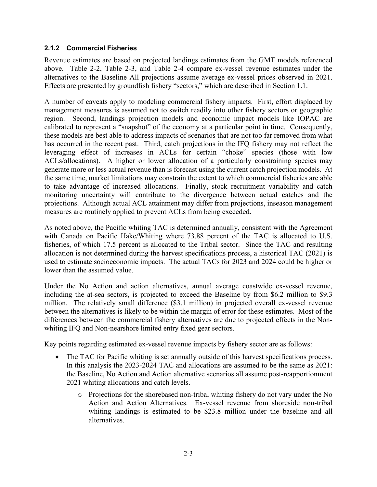### <span id="page-18-0"></span>**2.1.2 Commercial Fisheries**

Revenue estimates are based on projected landings estimates from the GMT models referenced above. [Table 2-2,](#page-19-0) [Table 2-3,](#page-20-0) and [Table 2-4](#page-20-1) compare ex-vessel revenue estimates under the alternatives to the Baseline All projections assume average ex-vessel prices observed in 2021. Effects are presented by groundfish fishery "sectors," which are described in Section [1.1.](#page-6-1)

A number of caveats apply to modeling commercial fishery impacts. First, effort displaced by management measures is assumed not to switch readily into other fishery sectors or geographic region. Second, landings projection models and economic impact models like IOPAC are calibrated to represent a "snapshot" of the economy at a particular point in time. Consequently, these models are best able to address impacts of scenarios that are not too far removed from what has occurred in the recent past. Third, catch projections in the IFQ fishery may not reflect the leveraging effect of increases in ACLs for certain "choke" species (those with low ACLs/allocations). A higher or lower allocation of a particularly constraining species may generate more or less actual revenue than is forecast using the current catch projection models. At the same time, market limitations may constrain the extent to which commercial fisheries are able to take advantage of increased allocations. Finally, stock recruitment variability and catch monitoring uncertainty will contribute to the divergence between actual catches and the projections. Although actual ACL attainment may differ from projections, inseason management measures are routinely applied to prevent ACLs from being exceeded.

As noted above, the Pacific whiting TAC is determined annually, consistent with the Agreement with Canada on Pacific Hake/Whiting where 73.88 percent of the TAC is allocated to U.S. fisheries, of which 17.5 percent is allocated to the Tribal sector. Since the TAC and resulting allocation is not determined during the harvest specifications process, a historical TAC (2021) is used to estimate socioeconomic impacts. The actual TACs for 2023 and 2024 could be higher or lower than the assumed value.

Under the No Action and action alternatives, annual average coastwide ex-vessel revenue, including the at-sea sectors, is projected to exceed the Baseline by from \$6.2 million to \$9.3 million. The relatively small difference (\$3.1 million) in projected overall ex-vessel revenue between the alternatives is likely to be within the margin of error for these estimates. Most of the differences between the commercial fishery alternatives are due to projected effects in the Nonwhiting IFQ and Non-nearshore limited entry fixed gear sectors.

Key points regarding estimated ex-vessel revenue impacts by fishery sector are as follows:

- The TAC for Pacific whiting is set annually outside of this harvest specifications process. In this analysis the 2023-2024 TAC and allocations are assumed to be the same as 2021: the Baseline, No Action and Action alternative scenarios all assume post-reapportionment 2021 whiting allocations and catch levels.
	- o Projections for the shorebased non-tribal whiting fishery do not vary under the No Action and Action Alternatives. Ex-vessel revenue from shoreside non-tribal whiting landings is estimated to be \$23.8 million under the baseline and all alternatives.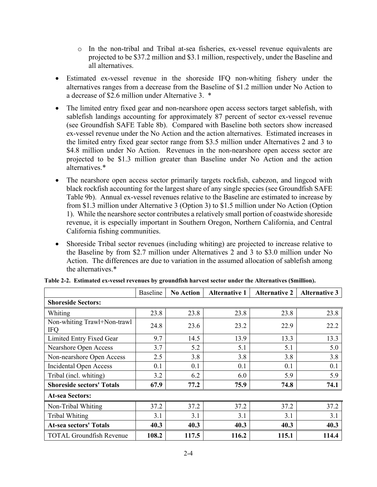- o In the non-tribal and Tribal at-sea fisheries, ex-vessel revenue equivalents are projected to be \$37.2 million and \$3.1 million, respectively, under the Baseline and all alternatives.
- Estimated ex-vessel revenue in the shoreside IFQ non-whiting fishery under the alternatives ranges from a decrease from the Baseline of \$1.2 million under No Action to a decrease of \$2.6 million under Alternative 3. \*
- The limited entry fixed gear and non-nearshore open access sectors target sablefish, with sablefish landings accounting for approximately 87 percent of sector ex-vessel revenue (see Groundfish SAFE Table 8b). Compared with Baseline both sectors show increased ex-vessel revenue under the No Action and the action alternatives. Estimated increases in the limited entry fixed gear sector range from \$3.5 million under Alternatives 2 and 3 to \$4.8 million under No Action. Revenues in the non-nearshore open access sector are projected to be \$1.3 million greater than Baseline under No Action and the action alternatives.\*
- The nearshore open access sector primarily targets rockfish, cabezon, and lingcod with black rockfish accounting for the largest share of any single species (see Groundfish SAFE Table 9b). Annual ex-vessel revenues relative to the Baseline are estimated to increase by from \$1.3 million under Alternative 3 (Option 3) to \$1.5 million under No Action (Option 1). While the nearshore sector contributes a relatively small portion of coastwide shoreside revenue, it is especially important in Southern Oregon, Northern California, and Central California fishing communities.
- Shoreside Tribal sector revenues (including whiting) are projected to increase relative to the Baseline by from \$2.7 million under Alternatives 2 and 3 to \$3.0 million under No Action. The differences are due to variation in the assumed allocation of sablefish among the alternatives.\*

|                                           | <b>Baseline</b> | <b>No Action</b> | <b>Alternative 1</b> | <b>Alternative 2</b> | <b>Alternative 3</b> |
|-------------------------------------------|-----------------|------------------|----------------------|----------------------|----------------------|
| <b>Shoreside Sectors:</b>                 |                 |                  |                      |                      |                      |
| Whiting                                   | 23.8            | 23.8             | 23.8                 | 23.8                 | 23.8                 |
| Non-whiting Trawl+Non-trawl<br><b>IFQ</b> | 24.8            | 23.6             | 23.2                 | 22.9                 | 22.2                 |
| Limited Entry Fixed Gear                  | 9.7             | 14.5             | 13.9                 | 13.3                 | 13.3                 |
| Nearshore Open Access                     | 3.7             | 5.2              | 5.1                  | 5.1                  | 5.0                  |
| Non-nearshore Open Access                 | 2.5             | 3.8              | 3.8                  | 3.8                  | 3.8                  |
| <b>Incidental Open Access</b>             | 0.1             | 0.1              | 0.1                  | 0.1                  | 0.1                  |
| Tribal (incl. whiting)                    | 3.2             | 6.2              | 6.0                  | 5.9                  | 5.9                  |
| <b>Shoreside sectors' Totals</b>          | 67.9            | 77.2             | 75.9                 | 74.8                 | 74.1                 |
| <b>At-sea Sectors:</b>                    |                 |                  |                      |                      |                      |
| Non-Tribal Whiting                        | 37.2            | 37.2             | 37.2                 | 37.2                 | 37.2                 |
| <b>Tribal Whiting</b>                     | 3.1             | 3.1              | 3.1                  | 3.1                  | 3.1                  |
| <b>At-sea sectors' Totals</b>             | 40.3            | 40.3             | 40.3                 | 40.3                 | 40.3                 |
| <b>TOTAL Groundfish Revenue</b>           | 108.2           | 117.5            | 116.2                | 115.1                | 114.4                |

<span id="page-19-0"></span>**Table 2-2. Estimated ex-vessel revenues by groundfish harvest sector under the Alternatives (\$million).**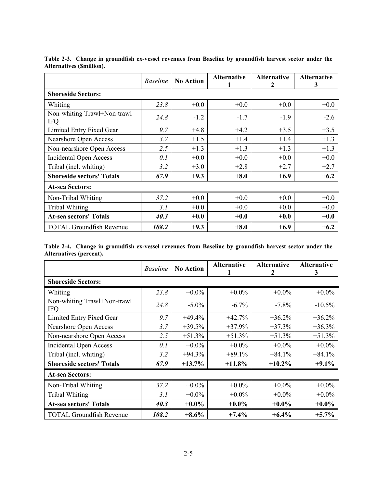|                                           | <i>Baseline</i> | <b>No Action</b> | <b>Alternative</b> | <b>Alternative</b><br>2 | <b>Alternative</b><br>3 |  |  |  |  |
|-------------------------------------------|-----------------|------------------|--------------------|-------------------------|-------------------------|--|--|--|--|
| <b>Shoreside Sectors:</b>                 |                 |                  |                    |                         |                         |  |  |  |  |
| Whiting                                   | 23.8            | $+0.0$           | $+0.0$             | $+0.0$                  | $+0.0$                  |  |  |  |  |
| Non-whiting Trawl+Non-trawl<br><b>IFQ</b> | 24.8            | $-1.2$           | $-1.7$             | $-1.9$                  | $-2.6$                  |  |  |  |  |
| Limited Entry Fixed Gear                  | 9.7             | $+4.8$           | $+4.2$             | $+3.5$                  | $+3.5$                  |  |  |  |  |
| Nearshore Open Access                     | 3.7             | $+1.5$           | $+1.4$             | $+1.4$                  | $+1.3$                  |  |  |  |  |
| Non-nearshore Open Access                 | 2.5             | $+1.3$           | $+1.3$             | $+1.3$                  | $+1.3$                  |  |  |  |  |
| <b>Incidental Open Access</b>             | 0.1             | $+0.0$           | $+0.0$             | $+0.0$                  | $+0.0$                  |  |  |  |  |
| Tribal (incl. whiting)                    | 3.2             | $+3.0$           | $+2.8$             | $+2.7$                  | $+2.7$                  |  |  |  |  |
| <b>Shoreside sectors' Totals</b>          | 67.9            | $+9.3$           | $+8.0$             | $+6.9$                  | $+6.2$                  |  |  |  |  |
| <b>At-sea Sectors:</b>                    |                 |                  |                    |                         |                         |  |  |  |  |
| Non-Tribal Whiting                        | 37.2            | $+0.0$           | $+0.0$             | $+0.0$                  | $+0.0$                  |  |  |  |  |
| <b>Tribal Whiting</b>                     | 3.1             | $+0.0$           | $+0.0$             | $+0.0$                  | $+0.0$                  |  |  |  |  |
| <b>At-sea sectors' Totals</b>             | 40.3            | $+0.0$           | $+0.0$             | $+0.0$                  | $+0.0$                  |  |  |  |  |
| <b>TOTAL Groundfish Revenue</b>           | 108.2           | $+9.3$           | $+8.0$             | $+6.9$                  | $+6.2$                  |  |  |  |  |

<span id="page-20-0"></span>**Table 2-3. Change in groundfish ex-vessel revenues from Baseline by groundfish harvest sector under the Alternatives (\$million).**

<span id="page-20-1"></span>**Table 2-4. Change in groundfish ex-vessel revenues from Baseline by groundfish harvest sector under the Alternatives (percent).**

|                                           | <i>Baseline</i> | <b>No Action</b> | <b>Alternative</b> | <b>Alternative</b> | <b>Alternative</b> |  |  |  |
|-------------------------------------------|-----------------|------------------|--------------------|--------------------|--------------------|--|--|--|
| 2<br>3<br><b>Shoreside Sectors:</b>       |                 |                  |                    |                    |                    |  |  |  |
| Whiting                                   | 23.8            | $+0.0\%$         | $+0.0\%$           | $+0.0\%$           | $+0.0\%$           |  |  |  |
| Non-whiting Trawl+Non-trawl<br><b>IFQ</b> | 24.8            | $-5.0\%$         | $-6.7\%$           | $-7.8%$            | $-10.5\%$          |  |  |  |
| Limited Entry Fixed Gear                  | 9.7             | $+49.4%$         | $+42.7%$           | $+36.2%$           | $+36.2%$           |  |  |  |
| <b>Nearshore Open Access</b>              | 3.7             | $+39.5%$         | $+37.9%$           | $+37.3%$           | $+36.3%$           |  |  |  |
| Non-nearshore Open Access                 | 2.5             | $+51.3%$         | $+51.3%$           | $+51.3%$           | $+51.3%$           |  |  |  |
| <b>Incidental Open Access</b>             | 0.1             | $+0.0\%$         | $+0.0\%$           | $+0.0\%$           | $+0.0\%$           |  |  |  |
| Tribal (incl. whiting)                    | 3.2             | $+94.3%$         | $+89.1%$           | $+84.1%$           | $+84.1%$           |  |  |  |
| <b>Shoreside sectors' Totals</b>          | 67.9            | $+13.7\%$        | $+11.8\%$          | $+10.2\%$          | $+9.1\%$           |  |  |  |
| <b>At-sea Sectors:</b>                    |                 |                  |                    |                    |                    |  |  |  |
| Non-Tribal Whiting                        | 37.2            | $+0.0\%$         | $+0.0\%$           | $+0.0\%$           | $+0.0\%$           |  |  |  |
| <b>Tribal Whiting</b>                     | 3.1             | $+0.0\%$         | $+0.0\%$           | $+0.0\%$           | $+0.0\%$           |  |  |  |
| <b>At-sea sectors' Totals</b>             | 40.3            | $+0.0\%$         | $+0.0\%$           | $+0.0\%$           | $+0.0\%$           |  |  |  |
| <b>TOTAL Groundfish Revenue</b>           | 108.2           | $+8.6\%$         | $+7.4%$            | $+6.4\%$           | $+5.7\%$           |  |  |  |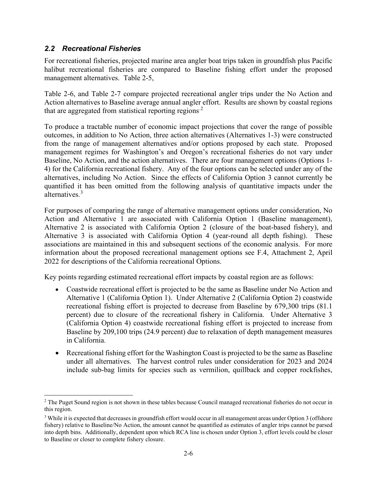# <span id="page-21-0"></span>*2.2 Recreational Fisheries*

For recreational fisheries, projected marine area angler boat trips taken in groundfish plus Pacific halibut recreational fisheries are compared to Baseline [fishing effort under the proposed](#page-22-1)  management alternatives. [Table 2-5,](#page-22-0)

[Table](#page-22-1) 2-6, and [Table 2-7](#page-23-1) compare projected recreational angler trips under the No Action and Action alternatives to Baseline average annual angler effort. Results are shown by coastal regions that are aggregated from statistical reporting regions<sup>[2](#page-21-1)</sup>

To produce a tractable number of economic impact projections that cover the range of possible outcomes, in addition to No Action, three action alternatives (Alternatives 1-3) were constructed from the range of management alternatives and/or options proposed by each state. Proposed management regimes for Washington's and Oregon's recreational fisheries do not vary under Baseline, No Action, and the action alternatives. There are four management options (Options 1- 4) for the California recreational fishery. Any of the four options can be selected under any of the alternatives, including No Action. Since the effects of California Option 3 cannot currently be quantified it has been omitted from the following analysis of quantitative impacts under the alternatives.[3](#page-21-2)

For purposes of comparing the range of alternative management options under consideration, No Action and Alternative 1 are associated with California Option 1 (Baseline management), Alternative 2 is associated with California Option 2 (closure of the boat-based fishery), and Alternative 3 is associated with California Option 4 (year-round all depth fishing). These associations are maintained in this and subsequent sections of the economic analysis. For more information about the proposed recreational management options see F.4, Attachment 2, April 2022 for descriptions of the California recreational Options.

Key points regarding estimated recreational effort impacts by coastal region are as follows:

- Coastwide recreational effort is projected to be the same as Baseline under No Action and Alternative 1 (California Option 1). Under Alternative 2 (California Option 2) coastwide recreational fishing effort is projected to decrease from Baseline by 679,300 trips (81.1 percent) due to closure of the recreational fishery in California. Under Alternative 3 (California Option 4) coastwide recreational fishing effort is projected to increase from Baseline by 209,100 trips (24.9 percent) due to relaxation of depth management measures in California.
- Recreational fishing effort for the Washington Coast is projected to be the same as Baseline under all alternatives. The harvest control rules under consideration for 2023 and 2024 include sub-bag limits for species such as vermilion, quillback and copper rockfishes,

<span id="page-21-1"></span><sup>&</sup>lt;sup>2</sup> The Puget Sound region is not shown in these tables because Council managed recreational fisheries do not occur in this region.

<span id="page-21-2"></span><sup>&</sup>lt;sup>3</sup> While it is expected that decreases in groundfish effort would occur in all management areas under Option 3 (offshore fishery) relative to Baseline/No Action, the amount cannot be quantified as estimates of angler trips cannot be parsed into depth bins. Additionally, dependent upon which RCA line is chosen under Option 3, effort levels could be closer to Baseline or closer to complete fishery closure.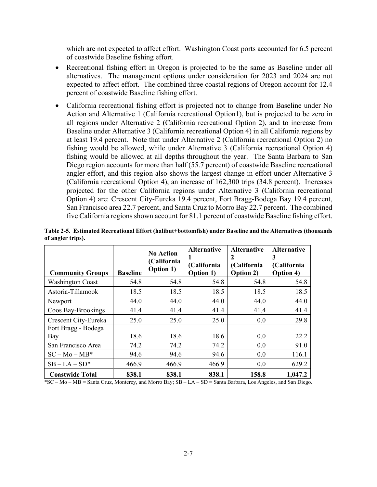which are not expected to affect effort. Washington Coast ports accounted for 6.5 percent of coastwide Baseline fishing effort.

- Recreational fishing effort in Oregon is projected to be the same as Baseline under all alternatives. The management options under consideration for 2023 and 2024 are not expected to affect effort. The combined three coastal regions of Oregon account for 12.4 percent of coastwide Baseline fishing effort.
- California recreational fishing effort is projected not to change from Baseline under No Action and Alternative 1 (California recreational Option1), but is projected to be zero in all regions under Alternative 2 (California recreational Option 2), and to increase from Baseline under Alternative 3 (California recreational Option 4) in all California regions by at least 19.4 percent. Note that under Alternative 2 (California recreational Option 2) no fishing would be allowed, while under Alternative 3 (California recreational Option 4) fishing would be allowed at all depths throughout the year. The Santa Barbara to San Diego region accounts for more than half (55.7 percent) of coastwide Baseline recreational angler effort, and this region also shows the largest change in effort under Alternative 3 (California recreational Option 4), an increase of 162,300 trips (34.8 percent). Increases projected for the other California regions under Alternative 3 (California recreational Option 4) are: Crescent City-Eureka 19.4 percent, Fort Bragg-Bodega Bay 19.4 percent, San Francisco area 22.7 percent, and Santa Cruz to Morro Bay 22.7 percent. The combined five California regions shown account for 81.1 percent of coastwide Baseline fishing effort.

|                         |                 | <b>No Action</b><br>(California<br>Option 1) | <b>Alternative</b><br>(California | <b>Alternative</b><br>$\mathbf{2}$<br>(California | <b>Alternative</b><br>3<br>(California |
|-------------------------|-----------------|----------------------------------------------|-----------------------------------|---------------------------------------------------|----------------------------------------|
| <b>Community Groups</b> | <b>Baseline</b> |                                              | <b>Option 1)</b>                  | Option 2)                                         | <b>Option 4)</b>                       |
| <b>Washington Coast</b> | 54.8            | 54.8                                         | 54.8                              | 54.8                                              | 54.8                                   |
| Astoria-Tillamook       | 18.5            | 18.5                                         | 18.5                              | 18.5                                              | 18.5                                   |
| Newport                 | 44.0            | 44.0                                         | 44.0                              | 44.0                                              | 44.0                                   |
| Coos Bay-Brookings      | 41.4            | 41.4                                         | 41.4                              | 41.4                                              | 41.4                                   |
| Crescent City-Eureka    | 25.0            | 25.0                                         | 25.0                              | 0.0                                               | 29.8                                   |
| Fort Bragg - Bodega     |                 |                                              |                                   |                                                   |                                        |
| Bay                     | 18.6            | 18.6                                         | 18.6                              | 0.0                                               | 22.2                                   |
| San Francisco Area      | 74.2            | 74.2                                         | 74.2                              | 0.0                                               | 91.0                                   |
| $SC - Mo - MB^*$        | 94.6            | 94.6                                         | 94.6                              | 0.0                                               | 116.1                                  |
| $SB-LA-SD*$             | 466.9           | 466.9                                        | 466.9                             | 0.0                                               | 629.2                                  |
| <b>Coastwide Total</b>  | 838.1           | 838.1                                        | 838.1                             | 158.8                                             | 1,047.2                                |

<span id="page-22-0"></span>**Table 2-5. Estimated Recreational Effort (halibut+bottomfish) under Baseline and the Alternatives (thousands of angler trips).**

<span id="page-22-1"></span>\*SC – Mo – MB = Santa Cruz, Monterey, and Morro Bay; SB – LA – SD = Santa Barbara, Los Angeles, and San Diego.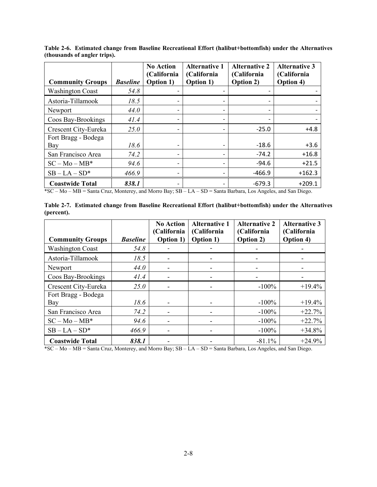| <b>Community Groups</b>    | <b>Baseline</b> | <b>No Action</b><br>(California<br><b>Option 1)</b> | <b>Alternative 1</b><br>(California<br><b>Option 1)</b> | <b>Alternative 2</b><br>(California<br><b>Option 2)</b> | <b>Alternative 3</b><br>(California<br><b>Option 4)</b> |
|----------------------------|-----------------|-----------------------------------------------------|---------------------------------------------------------|---------------------------------------------------------|---------------------------------------------------------|
| <b>Washington Coast</b>    | 54.8            |                                                     |                                                         |                                                         |                                                         |
| Astoria-Tillamook          | 18.5            |                                                     |                                                         |                                                         |                                                         |
| Newport                    | 44.0            |                                                     |                                                         |                                                         |                                                         |
| Coos Bay-Brookings         | 41.4            |                                                     |                                                         |                                                         |                                                         |
| Crescent City-Eureka       | 25.0            |                                                     |                                                         | $-25.0$                                                 | $+4.8$                                                  |
| Fort Bragg - Bodega<br>Bay | 18.6            | -                                                   | $\qquad \qquad$                                         | $-18.6$                                                 | $+3.6$                                                  |
| San Francisco Area         | 74.2            |                                                     |                                                         | $-74.2$                                                 | $+16.8$                                                 |
| $SC - Mo - MB^*$           | 94.6            | -                                                   | ۰                                                       | $-94.6$                                                 | $+21.5$                                                 |
| $SB-LA-SD*$                | 466.9           | $\overline{\phantom{0}}$                            | $\qquad \qquad$                                         | $-466.9$                                                | $+162.3$                                                |
| <b>Coastwide Total</b>     | 838.1           |                                                     |                                                         | $-679.3$                                                | $+209.1$                                                |

<span id="page-23-0"></span>**Table 2-6. Estimated change from Baseline Recreational Effort (halibut+bottomfish) under the Alternatives (thousands of angler trips).**

\*SC – Mo – MB = Santa Cruz, Monterey, and Morro Bay; SB – LA – SD = Santa Barbara, Los Angeles, and San Diego.

<span id="page-23-1"></span>

|            |  |  | Table 2-7. Estimated change from Baseline Recreational Effort (halibut+bottomfish) under the Alternatives |  |
|------------|--|--|-----------------------------------------------------------------------------------------------------------|--|
| (percent). |  |  |                                                                                                           |  |

|                         |                 | <b>No Action</b><br>(California | <b>Alternative 1</b><br>(California | <b>Alternative 2</b><br>(California | <b>Alternative 3</b><br>(California |
|-------------------------|-----------------|---------------------------------|-------------------------------------|-------------------------------------|-------------------------------------|
| <b>Community Groups</b> | <b>Baseline</b> | Option 1)                       | <b>Option 1)</b>                    | Option 2)                           | <b>Option 4)</b>                    |
| <b>Washington Coast</b> | 54.8            |                                 |                                     |                                     |                                     |
| Astoria-Tillamook       | 18.5            |                                 |                                     |                                     |                                     |
| Newport                 | 44.0            |                                 |                                     |                                     |                                     |
| Coos Bay-Brookings      | 41.4            |                                 |                                     |                                     |                                     |
| Crescent City-Eureka    | 25.0            |                                 |                                     | $-100\%$                            | $+19.4%$                            |
| Fort Bragg - Bodega     |                 |                                 |                                     |                                     |                                     |
| Bay                     | 18.6            |                                 |                                     | $-100%$                             | $+19.4%$                            |
| San Francisco Area      | 74.2            |                                 |                                     | $-100%$                             | $+22.7%$                            |
| $SC - Mo - MB^*$        | 94.6            |                                 | -                                   | $-100%$                             | $+22.7%$                            |
| $SB-LA-SD*$             | 466.9           |                                 |                                     | $-100%$                             | $+34.8%$                            |
| <b>Coastwide Total</b>  | 838.1           |                                 |                                     | $-81.1%$                            | $+24.9%$                            |

\*SC – Mo – MB = Santa Cruz, Monterey, and Morro Bay; SB – LA – SD = Santa Barbara, Los Angeles, and San Diego.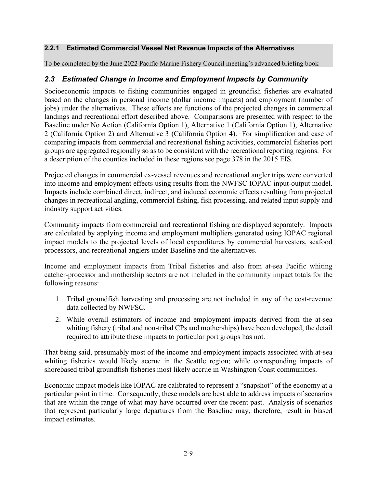## <span id="page-24-0"></span>**2.2.1 Estimated Commercial Vessel Net Revenue Impacts of the Alternatives**

To be completed by the June 2022 Pacific Marine Fishery Council meeting's advanced briefing book

# <span id="page-24-1"></span>*2.3 Estimated Change in Income and Employment Impacts by Community*

Socioeconomic impacts to fishing communities engaged in groundfish fisheries are evaluated based on the changes in personal income (dollar income impacts) and employment (number of jobs) under the alternatives. These effects are functions of the projected changes in commercial landings and recreational effort described above. Comparisons are presented with respect to the Baseline under No Action (California Option 1), Alternative 1 (California Option 1), Alternative 2 (California Option 2) and Alternative 3 (California Option 4). For simplification and ease of comparing impacts from commercial and recreational fishing activities, commercial fisheries port groups are aggregated regionally so as to be consistent with the recreational reporting regions. For a description of the counties included in these regions see page 378 in the 2015 EIS.

Projected changes in commercial ex-vessel revenues and recreational angler trips were converted into income and employment effects using results from the NWFSC IOPAC input-output model. Impacts include combined direct, indirect, and induced economic effects resulting from projected changes in recreational angling, commercial fishing, fish processing, and related input supply and industry support activities.

Community impacts from commercial and recreational fishing are displayed separately. Impacts are calculated by applying income and employment multipliers generated using IOPAC regional impact models to the projected levels of local expenditures by commercial harvesters, seafood processors, and recreational anglers under Baseline and the alternatives.

Income and employment impacts from Tribal fisheries and also from at-sea Pacific whiting catcher-processor and mothership sectors are not included in the community impact totals for the following reasons:

- 1. Tribal groundfish harvesting and processing are not included in any of the cost-revenue data collected by NWFSC.
- 2. While overall estimators of income and employment impacts derived from the at-sea whiting fishery (tribal and non-tribal CPs and motherships) have been developed, the detail required to attribute these impacts to particular port groups has not.

That being said, presumably most of the income and employment impacts associated with at-sea whiting fisheries would likely accrue in the Seattle region; while corresponding impacts of shorebased tribal groundfish fisheries most likely accrue in Washington Coast communities.

Economic impact models like IOPAC are calibrated to represent a "snapshot" of the economy at a particular point in time. Consequently, these models are best able to address impacts of scenarios that are within the range of what may have occurred over the recent past. Analysis of scenarios that represent particularly large departures from the Baseline may, therefore, result in biased impact estimates.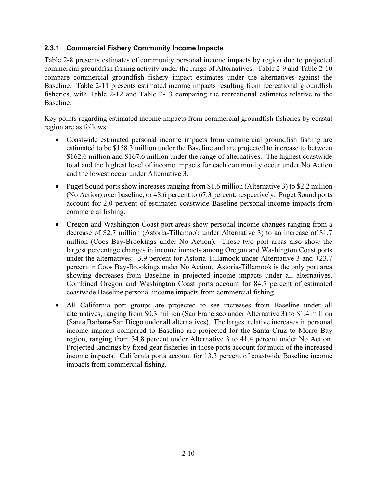## <span id="page-25-0"></span>**2.3.1 Commercial Fishery Community Income Impacts**

[Table 2-8](#page-26-0) presents estimates of community personal income impacts by region due to projected commercial groundfish fishing activity under the range of Alternatives. [Table 2-9](#page-26-1) and [Table 2-10](#page-26-2) compare commercial groundfish fishery impact estimates under the alternatives against the Baseline. [Table 2-11](#page-28-0) presents estimated income impacts resulting from recreational groundfish fisheries, with [Table 2-12](#page-28-1) and [Table 2-13](#page-28-2) comparing the recreational estimates relative to the Baseline.

Key points regarding estimated income impacts from commercial groundfish fisheries by coastal region are as follows:

- Coastwide estimated personal income impacts from commercial groundfish fishing are estimated to be \$158.3 million under the Baseline and are projected to increase to between \$162.6 million and \$167.6 million under the range of alternatives. The highest coastwide total and the highest level of income impacts for each community occur under No Action and the lowest occur under Alternative 3.
- Puget Sound ports show increases ranging from \$1.6 million (Alternative 3) to \$2.2 million (No Action) over baseline, or 48.6 percent to 67.3 percent, respectively. Puget Sound ports account for 2.0 percent of estimated coastwide Baseline personal income impacts from commercial fishing.
- Oregon and Washington Coast port areas show personal income changes ranging from a decrease of \$2.7 million (Astoria-Tillamook under Alternative 3) to an increase of \$1.7 million (Coos Bay-Brookings under No Action). Those two port areas also show the largest percentage changes in income impacts among Oregon and Washington Coast ports under the alternatives: -3.9 percent for Astoria-Tillamook under Alternative 3 and +23.7 percent in Coos Bay-Brookings under No Action. Astoria-Tillamook is the only port area showing decreases from Baseline in projected income impacts under all alternatives. Combined Oregon and Washington Coast ports account for 84.7 percent of estimated coastwide Baseline personal income impacts from commercial fishing.
- All California port groups are projected to see increases from Baseline under all alternatives, ranging from \$0.3 million (San Francisco under Alternative 3) to \$1.4 million (Santa Barbara-San Diego under all alternatives). The largest relative increases in personal income impacts compared to Baseline are projected for the Santa Cruz to Morro Bay region, ranging from 34.8 percent under Alternative 3 to 41.4 percent under No Action. Projected landings by fixed gear fisheries in those ports account for much of the increased income impacts. California ports account for 13.3 percent of coastwide Baseline income impacts from commercial fishing.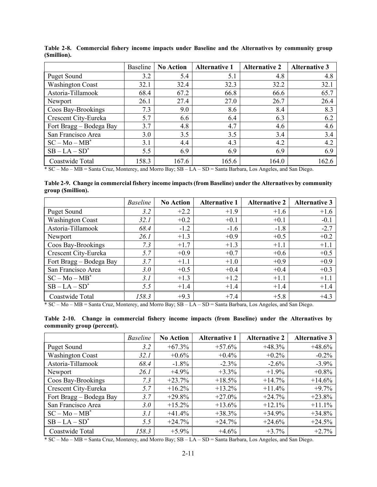|                         | <b>Baseline</b> | <b>No Action</b> | <b>Alternative 1</b> | <b>Alternative 2</b> | <b>Alternative 3</b> |
|-------------------------|-----------------|------------------|----------------------|----------------------|----------------------|
| Puget Sound             | 3.2             | 5.4              | 5.1                  | 4.8                  | 4.8                  |
| <b>Washington Coast</b> | 32.1            | 32.4             | 32.3                 | 32.2                 | 32.1                 |
| Astoria-Tillamook       | 68.4            | 67.2             | 66.8                 | 66.6                 | 65.7                 |
| Newport                 | 26.1            | 27.4             | 27.0                 | 26.7                 | 26.4                 |
| Coos Bay-Brookings      | 7.3             | 9.0              | 8.6                  | 8.4                  | 8.3                  |
| Crescent City-Eureka    | 5.7             | 6.6              | 6.4                  | 6.3                  | 6.2                  |
| Fort Bragg - Bodega Bay | 3.7             | 4.8              | 4.7                  | 4.6                  | 4.6                  |
| San Francisco Area      | 3.0             | 3.5              | 3.5                  | 3.4                  | 3.4                  |
| $SC - Mo - MB^*$        | 3.1             | 4.4              | 4.3                  | 4.2                  | 4.2                  |
| $SB - LA - SD^*$        | 5.5             | 6.9              | 6.9                  | 6.9                  | 6.9                  |
| Coastwide Total         | 158.3           | 167.6            | 165.6                | 164.0                | 162.6                |

<span id="page-26-0"></span>**Table 2-8. Commercial fishery income impacts under Baseline and the Alternatives by community group (\$million).** 

\* SC – Mo – MB = Santa Cruz, Monterey, and Morro Bay; SB – LA – SD = Santa Barbara, Los Angeles, and San Diego.

<span id="page-26-1"></span>

|                    | Table 2-9. Change in commercial fishery income impacts (from Baseline) under the Alternatives by community |  |  |
|--------------------|------------------------------------------------------------------------------------------------------------|--|--|
| group (\$million). |                                                                                                            |  |  |

|                         | <b>Baseline</b> | <b>No Action</b> | <b>Alternative 1</b> | <b>Alternative 2</b> | <b>Alternative 3</b> |
|-------------------------|-----------------|------------------|----------------------|----------------------|----------------------|
| Puget Sound             | 3.2             | $+2.2$           | $+1.9$               | $+1.6$               | $+1.6$               |
| Washington Coast        | 32.1            | $+0.2$           | $+0.1$               | $+0.1$               | $-0.1$               |
| Astoria-Tillamook       | 68.4            | $-1.2$           | $-1.6$               | $-1.8$               | $-2.7$               |
| Newport                 | 26.1            | $+1.3$           | $+0.9$               | $+0.5$               | $+0.2$               |
| Coos Bay-Brookings      | 7.3             | $+1.7$           | $+1.3$               | $+1.1$               | $+1.1$               |
| Crescent City-Eureka    | 5.7             | $+0.9$           | $+0.7$               | $+0.6$               | $+0.5$               |
| Fort Bragg - Bodega Bay | 3.7             | $+1.1$           | $+1.0$               | $+0.9$               | $+0.9$               |
| San Francisco Area      | 3.0             | $+0.5$           | $+0.4$               | $+0.4$               | $+0.3$               |
| $SC - Mo - MB^*$        | 3.1             | $+1.3$           | $+1.2$               | $+1.1$               | $+1.1$               |
| $SB - LA - SD^*$        | 5.5             | $+1.4$           | $+1.4$               | $+1.4$               | $+1.4$               |
| Coastwide Total         | 158.3           | $+9.3$           | $+7.4$               | $+5.8$               | $+4.3$               |

\* SC – Mo – MB = Santa Cruz, Monterey, and Morro Bay; SB – LA – SD = Santa Barbara, Los Angeles, and San Diego.

<span id="page-26-2"></span>

| Table 2-10. Change in commercial fishery income impacts (from Baseline) under the Alternatives by |  |  |  |  |  |  |
|---------------------------------------------------------------------------------------------------|--|--|--|--|--|--|
| community group (percent).                                                                        |  |  |  |  |  |  |

|                         | <b>Baseline</b> | <b>No Action</b> | <b>Alternative 1</b> | <b>Alternative 2</b> | <b>Alternative 3</b> |
|-------------------------|-----------------|------------------|----------------------|----------------------|----------------------|
| Puget Sound             | 3.2             | $+67.3\%$        | $+57.6%$             | $+48.3%$             | $+48.6\%$            |
| <b>Washington Coast</b> | 32.1            | $+0.6\%$         | $+0.4\%$             | $+0.2\%$             | $-0.2\%$             |
| Astoria-Tillamook       | 68.4            | $-1.8\%$         | $-2.3\%$             | $-2.6\%$             | $-3.9\%$             |
| Newport                 | 26.1            | $+4.9\%$         | $+3.3\%$             | $+1.9%$              | $+0.8\%$             |
| Coos Bay-Brookings      | 7.3             | $+23.7%$         | $+18.5%$             | $+14.7%$             | $+14.6%$             |
| Crescent City-Eureka    | 5.7             | $+16.2%$         | $+13.2%$             | $+11.4%$             | $+9.7%$              |
| Fort Bragg - Bodega Bay | 3.7             | $+29.8%$         | $+27.0%$             | $+24.7%$             | $+23.8%$             |
| San Francisco Area      | 3.0             | $+15.2\%$        | $+13.6%$             | $+12.1%$             | $+11.1%$             |
| $SC - Mo - MB^*$        | 3. I            | $+41.4%$         | $+38.3%$             | $+34.9%$             | $+34.8%$             |
| $SB - LA - SD^*$        | 5.5             | $+24.7%$         | $+24.7%$             | $+24.6%$             | $+24.5%$             |
| Coastwide Total         | 158.3           | $+5.9\%$         | $+4.6%$              | $+3.7%$              | $+2.7\%$             |

\* SC – Mo – MB = Santa Cruz, Monterey, and Morro Bay; SB – LA – SD = Santa Barbara, Los Angeles, and San Diego.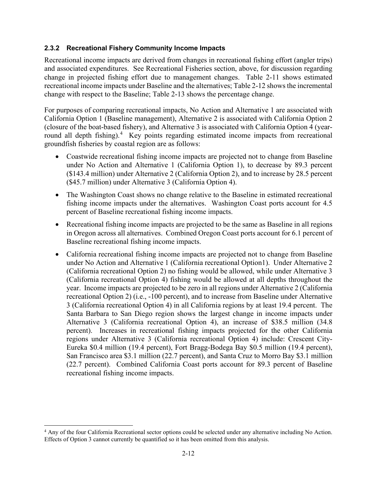### <span id="page-27-0"></span>**2.3.2 Recreational Fishery Community Income Impacts**

Recreational income impacts are derived from changes in recreational fishing effort (angler trips) and associated expenditures. See [Recreational Fisheries](#page-21-0) section, above, for discussion regarding change in projected fishing effort due to management changes. [Table 2-11](#page-28-0) shows estimated recreational income impacts under Baseline and the alternatives; [Table 2-12](#page-28-1) shows the incremental change with respect to the Baseline; [Table 2-13](#page-28-2) shows the percentage change.

For purposes of comparing recreational impacts, No Action and Alternative 1 are associated with California Option 1 (Baseline management), Alternative 2 is associated with California Option 2 (closure of the boat-based fishery), and Alternative 3 is associated with California Option 4 (year-round all depth fishing).<sup>[4](#page-27-1)</sup> Key points regarding estimated income impacts from recreational groundfish fisheries by coastal region are as follows:

- Coastwide recreational fishing income impacts are projected not to change from Baseline under No Action and Alternative 1 (California Option 1), to decrease by 89.3 percent (\$143.4 million) under Alternative 2 (California Option 2), and to increase by 28.5 percent (\$45.7 million) under Alternative 3 (California Option 4).
- The Washington Coast shows no change relative to the Baseline in estimated recreational fishing income impacts under the alternatives. Washington Coast ports account for 4.5 percent of Baseline recreational fishing income impacts.
- Recreational fishing income impacts are projected to be the same as Baseline in all regions in Oregon across all alternatives. Combined Oregon Coast ports account for 6.1 percent of Baseline recreational fishing income impacts.
- California recreational fishing income impacts are projected not to change from Baseline under No Action and Alternative 1 (California recreational Option1). Under Alternative 2 (California recreational Option 2) no fishing would be allowed, while under Alternative 3 (California recreational Option 4) fishing would be allowed at all depths throughout the year. Income impacts are projected to be zero in all regions under Alternative 2 (California recreational Option 2) (i.e., -100 percent), and to increase from Baseline under Alternative 3 (California recreational Option 4) in all California regions by at least 19.4 percent. The Santa Barbara to San Diego region shows the largest change in income impacts under Alternative 3 (California recreational Option 4), an increase of \$38.5 million (34.8 percent). Increases in recreational fishing impacts projected for the other California regions under Alternative 3 (California recreational Option 4) include: Crescent City-Eureka \$0.4 million (19.4 percent), Fort Bragg-Bodega Bay \$0.5 million (19.4 percent), San Francisco area \$3.1 million (22.7 percent), and Santa Cruz to Morro Bay \$3.1 million (22.7 percent). Combined California Coast ports account for 89.3 percent of Baseline recreational fishing income impacts.

<span id="page-27-1"></span><sup>&</sup>lt;sup>4</sup> Any of the four California Recreational sector options could be selected under any alternative including No Action. Effects of Option 3 cannot currently be quantified so it has been omitted from this analysis.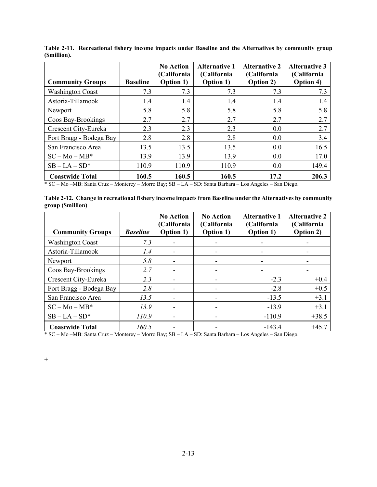| <b>Community Groups</b> | <b>Baseline</b> | <b>No Action</b><br>(California<br><b>Option 1)</b> | <b>Alternative 1</b><br>(California<br><b>Option 1)</b> | <b>Alternative 2</b><br>(California<br><b>Option 2)</b> | <b>Alternative 3</b><br>(California<br><b>Option 4)</b> |
|-------------------------|-----------------|-----------------------------------------------------|---------------------------------------------------------|---------------------------------------------------------|---------------------------------------------------------|
| <b>Washington Coast</b> | 7.3             | 7.3                                                 | 7.3                                                     | 7.3                                                     | 7.3                                                     |
| Astoria-Tillamook       | 1.4             | 1.4                                                 | 1.4                                                     | 1.4                                                     | 1.4                                                     |
| Newport                 | 5.8             | 5.8                                                 | 5.8                                                     | 5.8                                                     | 5.8                                                     |
| Coos Bay-Brookings      | 2.7             | 2.7                                                 | 2.7                                                     | 2.7                                                     | 2.7                                                     |
| Crescent City-Eureka    | 2.3             | 2.3                                                 | 2.3                                                     | 0.0                                                     | 2.7                                                     |
| Fort Bragg - Bodega Bay | 2.8             | 2.8                                                 | 2.8                                                     | 0.0                                                     | 3.4                                                     |
| San Francisco Area      | 13.5            | 13.5                                                | 13.5                                                    | 0.0                                                     | 16.5                                                    |
| $SC - Mo - MB^*$        | 13.9            | 13.9                                                | 13.9                                                    | 0.0                                                     | 17.0                                                    |
| $SB-LA-SD*$             | 110.9           | 110.9                                               | 110.9                                                   | 0.0                                                     | 149.4                                                   |
| <b>Coastwide Total</b>  | 160.5           | 160.5                                               | 160.5                                                   | 17.2                                                    | 206.3                                                   |

<span id="page-28-0"></span>**Table 2-11. Recreational fishery income impacts under Baseline and the Alternatives by community group (\$million).**

\* SC – Mo –MB: Santa Cruz – Monterey – Morro Bay; SB – LA – SD: Santa Barbara – Los Angeles – San Diego.

<span id="page-28-1"></span>

|                   |  | Table 2-12. Change in recreational fishery income impacts from Baseline under the Alternatives by community |  |  |
|-------------------|--|-------------------------------------------------------------------------------------------------------------|--|--|
| group (\$million) |  |                                                                                                             |  |  |

|                         |                 | <b>No Action</b><br>(California | <b>No Action</b><br>(California | <b>Alternative 1</b><br>(California | <b>Alternative 2</b><br>(California |  |
|-------------------------|-----------------|---------------------------------|---------------------------------|-------------------------------------|-------------------------------------|--|
| <b>Community Groups</b> | <b>Baseline</b> | <b>Option 1)</b>                | <b>Option 1)</b>                | <b>Option 1)</b>                    | Option 2)                           |  |
| <b>Washington Coast</b> | 7.3             |                                 |                                 |                                     |                                     |  |
| Astoria-Tillamook       | 1.4             |                                 |                                 |                                     |                                     |  |
| Newport                 | 5.8             |                                 |                                 |                                     |                                     |  |
| Coos Bay-Brookings      | 2.7             |                                 |                                 |                                     |                                     |  |
| Crescent City-Eureka    | 2.3             |                                 |                                 | $-2.3$                              | $+0.4$                              |  |
| Fort Bragg - Bodega Bay | 2.8             |                                 |                                 | $-2.8$                              | $+0.5$                              |  |
| San Francisco Area      | 13.5            |                                 |                                 | $-13.5$                             | $+3.1$                              |  |
| $SC - Mo - MB^*$        | 13.9            |                                 |                                 | $-13.9$                             | $+3.1$                              |  |
| $SB-LA-SD*$             | 110.9           |                                 |                                 | $-110.9$                            | $+38.5$                             |  |
| <b>Coastwide Total</b>  | 160.5           |                                 |                                 | $-143.4$                            | $+45.7$                             |  |

<span id="page-28-2"></span>\* SC – Mo –MB: Santa Cruz – Monterey – Morro Bay; SB – LA – SD: Santa Barbara – Los Angeles – San Diego.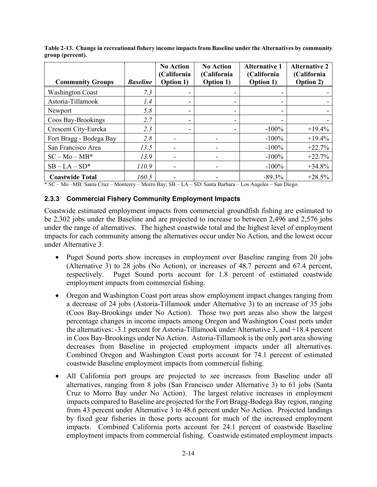| <b>Community Groups</b> | <b>Baseline</b> | <b>No Action</b><br>(California<br>Option 1) | <b>No Action</b><br>(California<br>Option 1) | <b>Alternative 1</b><br>(California<br><b>Option 1)</b> | <b>Alternative 2</b><br>(California<br>Option 2) |
|-------------------------|-----------------|----------------------------------------------|----------------------------------------------|---------------------------------------------------------|--------------------------------------------------|
| <b>Washington Coast</b> | 7.3             |                                              |                                              |                                                         |                                                  |
|                         |                 |                                              |                                              |                                                         |                                                  |
| Astoria-Tillamook       | 1.4             | $\overline{\phantom{0}}$                     | $\overline{\phantom{0}}$                     | -                                                       |                                                  |
| Newport                 | 5.8             |                                              |                                              |                                                         |                                                  |
| Coos Bay-Brookings      | 2.7             |                                              |                                              |                                                         |                                                  |
| Crescent City-Eureka    | 2.3             | $\overline{\phantom{0}}$                     | $\overline{\phantom{0}}$                     | $-100%$                                                 | $+19.4%$                                         |
| Fort Bragg - Bodega Bay | 2.8             |                                              |                                              | $-100%$                                                 | $+19.4%$                                         |
| San Francisco Area      | 13.5            |                                              |                                              | $-100%$                                                 | $+22.7%$                                         |
| $SC - Mo - MB^*$        | 13.9            |                                              |                                              | $-100%$                                                 | $+22.7%$                                         |
| $SB-LA-SD*$             | 110.9           |                                              |                                              | $-100%$                                                 | $+34.8%$                                         |
| <b>Coastwide Total</b>  | 160.5           |                                              |                                              | $-89.3%$                                                | $+28.5%$                                         |

**Table 2-13. Change in recreational fishery income impacts from Baseline under the Alternatives by community group (percent).**

\* SC – Mo –MB: Santa Cruz – Monterey – Morro Bay; SB – LA – SD: Santa Barbara – Los Angeles – San Diego.

### <span id="page-29-0"></span>**2.3.3 Commercial Fishery Community Employment Impacts**

Coastwide estimated employment impacts from commercial groundfish fishing are estimated to be 2,302 jobs under the Baseline and are projected to increase to between 2,496 and 2,576 jobs under the range of alternatives. The highest coastwide total and the highest level of employment impacts for each community among the alternatives occur under No Action, and the lowest occur under Alternative 3.

- Puget Sound ports show increases in employment over Baseline ranging from 20 jobs (Alternative 3) to 28 jobs (No Action), or increases of 48.7 percent and 67.4 percent, respectively. Puget Sound ports account for 1.8 percent of estimated coastwide employment impacts from commercial fishing.
- Oregon and Washington Coast port areas show employment impact changes ranging from a decrease of 24 jobs (Astoria-Tillamook under Alternative 3) to an increase of 35 jobs (Coos Bay-Brookings under No Action). Those two port areas also show the largest percentage changes in income impacts among Oregon and Washington Coast ports under the alternatives: -3.1 percent for Astoria-Tillamook under Alternative 3, and +18.4 percent in Coos Bay-Brookings under No Action. Astoria-Tillamook is the only port area showing decreases from Baseline in projected employment impacts under all alternatives. Combined Oregon and Washington Coast ports account for 74.1 percent of estimated coastwide Baseline employment impacts from commercial fishing.
- All California port groups are projected to see increases from Baseline under all alternatives, ranging from 8 jobs (San Francisco under Alternative 3) to 61 jobs (Santa Cruz to Morro Bay under No Action). The largest relative increases in employment impacts compared to Baseline are projected for the Fort Bragg-Bodega Bay region, ranging from 43 percent under Alternative 3 to 48.6 percent under No Action. Projected landings by fixed gear fisheries in those ports account for much of the increased employment impacts. Combined California ports account for 24.1 percent of coastwide Baseline employment impacts from commercial fishing. [Coastwide estimated employment impacts](#page-30-0)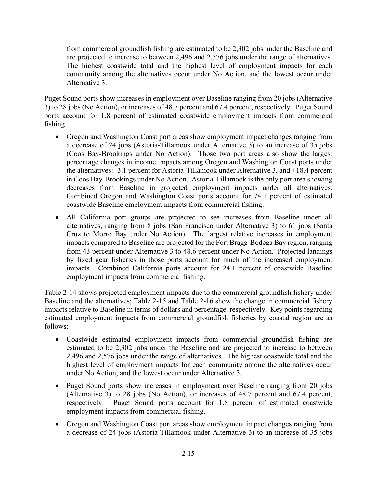[from commercial groundfish fishing are estimated to be 2,302 jobs under the Baseline and](#page-30-0)  [are projected to increase to between 2,496 and 2,576 jobs under the range of alternatives.](#page-30-0)  [The highest coastwide total and the highest level of employment impacts for each](#page-30-0)  [community among the alternatives occur under No Action, and the lowest occur under](#page-30-0)  [Alternative 3.](#page-30-0)

Puget Sound [ports show increases in employment over Baseline ranging from 20 jobs \(Alternative](#page-30-0)  [3\) to 28 jobs \(No Action\), or increases of 48.7 percent and 67.4 percent, respectively. Puget Sound](#page-30-0)  [ports account for 1.8 percent of estimated coastwide employment impacts from commercial](#page-30-0)  [fishing.](#page-30-0)

- Oregon and Washington Coast port areas show employment impact changes ranging from [a decrease of 24 jobs \(Astoria-Tillamook under Alternative 3\) to an increase of 35 jobs](#page-30-0)  [\(Coos Bay-Brookings under No Action\). Those two port areas also show the largest](#page-30-0)  [percentage changes in income impacts among Oregon and Washington Coast ports under](#page-30-0)  the alternatives: -3.1 [percent for Astoria-Tillamook under Alternative 3, and +18.4 percent](#page-30-0)  [in Coos Bay-Brookings under No Action. Astoria-Tillamook is the only port area showing](#page-30-0)  [decreases from Baseline in projected employment impacts under all alternatives.](#page-30-0)  [Combined Oregon and Washington Coast ports account for 74.1 percent of estimated](#page-30-0)  [coastwide Baseline employment impacts from commercial fishing.](#page-30-0)
- [All California port groups are projected to see increases from Baseline under all](#page-30-0)  [alternatives, ranging from 8 jobs \(San Francisco under Alternative 3\) to 61 jobs \(Santa](#page-30-0)  [Cruz to Morro Bay under No Action\). The largest relative increases in employment](#page-30-0)  [impacts compared to Baseline are projected for the Fort Bragg-Bodega Bay region, ranging](#page-30-0)  [from 43 percent under Alternative 3 to 48.6 percent under No Action. Projected landings](#page-30-0)  [by fixed gear fisheries in those ports account for much of the increased employment](#page-30-0)  [impacts. Combined California ports account for 24.1 percent of coastwide Baseline](#page-30-0)  [employment impacts from commercial fishing.](#page-30-0)

[Table 2-14](#page-30-0) shows projected employment impacts due to the commercial groundfish fishery under Baseline and the alternatives; [Table 2-15](#page-31-1) and [Table 2-16](#page-32-1) show the change in commercial fishery impacts relative to Baseline in terms of dollars and percentage, respectively. Key points regarding estimated employment impacts from commercial groundfish fisheries by coastal region are as follows:

- <span id="page-30-0"></span>• Coastwide estimated employment impacts from commercial groundfish fishing are estimated to be 2,302 jobs under the Baseline and are projected to increase to between 2,496 and 2,576 jobs under the range of alternatives. The highest coastwide total and the highest level of employment impacts for each community among the alternatives occur under No Action, and the lowest occur under Alternative 3.
- Puget Sound ports show increases in employment over Baseline ranging from 20 jobs (Alternative 3) to 28 jobs (No Action), or increases of 48.7 percent and 67.4 percent, respectively. Puget Sound ports account for 1.8 percent of estimated coastwide employment impacts from commercial fishing.
- Oregon and Washington Coast port areas show employment impact changes ranging from a decrease of 24 jobs (Astoria-Tillamook under Alternative 3) to an increase of 35 jobs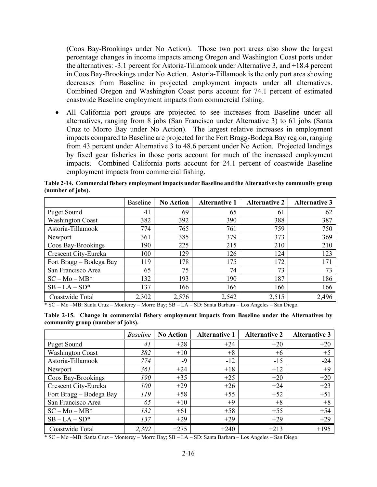(Coos Bay-Brookings under No Action). Those two port areas also show the largest percentage changes in income impacts among Oregon and Washington Coast ports under the alternatives: -3.1 percent for Astoria-Tillamook under Alternative 3, and +18.4 percent in Coos Bay-Brookings under No Action. Astoria-Tillamook is the only port area showing decreases from Baseline in projected employment impacts under all alternatives. Combined Oregon and Washington Coast ports account for 74.1 percent of estimated coastwide Baseline employment impacts from commercial fishing.

• All California port groups are projected to see increases from Baseline under all alternatives, ranging from 8 jobs (San Francisco under Alternative 3) to 61 jobs (Santa Cruz to Morro Bay under No Action). The largest relative increases in employment impacts compared to Baseline are projected for the Fort Bragg-Bodega Bay region, ranging from 43 percent under Alternative 3 to 48.6 percent under No Action. Projected landings by fixed gear fisheries in those ports account for much of the increased employment impacts. Combined California ports account for 24.1 percent of coastwide Baseline employment impacts from commercial fishing.

<span id="page-31-0"></span>**Table 2-14. Commercial fishery employment impacts under Baseline and the Alternatives by community group (number of jobs).**

|                         | <b>Baseline</b> | <b>No Action</b> | <b>Alternative 1</b> | <b>Alternative 2</b> | <b>Alternative 3</b> |
|-------------------------|-----------------|------------------|----------------------|----------------------|----------------------|
| Puget Sound             | 41              | 69               | 65                   | 61                   | 62                   |
| <b>Washington Coast</b> | 382             | 392              | 390                  | 388                  | 387                  |
| Astoria-Tillamook       | 774             | 765              | 761                  | 759                  | 750                  |
| Newport                 | 361             | 385              | 379                  | 373                  | 369                  |
| Coos Bay-Brookings      | 190             | 225              | 215                  | 210                  | 210                  |
| Crescent City-Eureka    | 100             | 129              | 126                  | 124                  | 123                  |
| Fort Bragg - Bodega Bay | 119             | 178              | 175                  | 172                  | 171                  |
| San Francisco Area      | 65              | 75               | 74                   | 73                   | 73                   |
| $SC - Mo - MB^*$        | 132             | 193              | 190                  | 187                  | 186                  |
| $SB - LA - SD^*$        | 137             | 166              | 166                  | 166                  | 166                  |
| Coastwide Total         | 2,302           | 2,576            | 2,542                | 2,515                | 2,496                |

\* SC – Mo –MB: Santa Cruz – Monterey – Morro Bay; SB – LA – SD: Santa Barbara – Los Angeles – San Diego.

<span id="page-31-1"></span>

|                                   | Table 2-15. Change in commercial fishery employment impacts from Baseline under the Alternatives by |  |  |  |  |  |
|-----------------------------------|-----------------------------------------------------------------------------------------------------|--|--|--|--|--|
| community group (number of jobs). |                                                                                                     |  |  |  |  |  |

|                         | <b>Baseline</b> | <b>No Action</b> | <b>Alternative 1</b> | <b>Alternative 2</b> | <b>Alternative 3</b> |
|-------------------------|-----------------|------------------|----------------------|----------------------|----------------------|
| Puget Sound             | 41              | $+28$            | $+24$                | $+20$                | $+20$                |
| <b>Washington Coast</b> | 382             | $+10$            | $+8$                 | $+6$                 | $+5$                 |
| Astoria-Tillamook       | 774             | $-9$             | $-12$                | $-15$                | $-24$                |
| Newport                 | 361             | $+24$            | $+18$                | $+12$                | $+9$                 |
| Coos Bay-Brookings      | 190             | $+35$            | $+25$                | $+20$                | $+20$                |
| Crescent City-Eureka    | 100             | $+29$            | $+26$                | $+24$                | $+23$                |
| Fort Bragg - Bodega Bay | 119             | $+58$            | $+55$                | $+52$                | $+51$                |
| San Francisco Area      | 65              | $+10$            | $+9$                 | $+8$                 | $+8$                 |
| $SC - Mo - MB^*$        | 132             | $+61$            | $+58$                | $+55$                | $+54$                |
| $SB-LA-SD*$             | 137             | $+29$            | $+29$                | $+29$                | $+29$                |
| Coastwide Total         | 2,302           | $+275$           | $+240$               | $+213$               | $+195$               |

\* SC – Mo –MB: Santa Cruz – Monterey – Morro Bay; SB – LA – SD: Santa Barbara – Los Angeles – San Diego.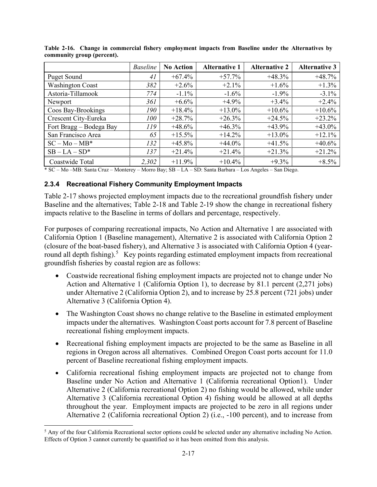|                         | <b>Baseline</b> | <b>No Action</b> | <b>Alternative 1</b> | <b>Alternative 2</b> | <b>Alternative 3</b> |
|-------------------------|-----------------|------------------|----------------------|----------------------|----------------------|
| Puget Sound             | 41              | $+67.4%$         | $+57.7%$             | $+48.3%$             | $+48.7%$             |
| <b>Washington Coast</b> | 382             | $+2.6%$          | $+2.1\%$             | $+1.6%$              | $+1.3\%$             |
| Astoria-Tillamook       | 774             | $-1.1\%$         | $-1.6\%$             | $-1.9\%$             | $-3.1\%$             |
| Newport                 | 361             | $+6.6\%$         | $+4.9\%$             | $+3.4%$              | $+2.4%$              |
| Coos Bay-Brookings      | 190             | $+18.4%$         | $+13.0\%$            | $+10.6%$             | $+10.6%$             |
| Crescent City-Eureka    | 100             | $+28.7%$         | $+26.3%$             | $+24.5%$             | $+23.2%$             |
| Fort Bragg - Bodega Bay | 119             | $+48.6\%$        | $+46.3\%$            | $+43.9%$             | $+43.0\%$            |
| San Francisco Area      | 65              | $+15.5\%$        | $+14.2%$             | $+13.0\%$            | $+12.1%$             |
| $SC - Mo - MB^*$        | 132             | $+45.8\%$        | $+44.0\%$            | $+41.5%$             | $+40.6%$             |
| $SB - LA - SD^*$        | 137             | $+21.4%$         | $+21.4%$             | $+21.3%$             | $+21.2%$             |
| Coastwide Total         | 2,302           | $+11.9%$         | $+10.4%$             | $+9.3%$              | $+8.5\%$             |

<span id="page-32-1"></span>**Table 2-16. Change in commercial fishery employment impacts from Baseline under the Alternatives by community group (percent).**

<span id="page-32-0"></span>\* SC – Mo –MB: Santa Cruz – Monterey – Morro Bay; SB – LA – SD: Santa Barbara – Los Angeles – San Diego.

## **2.3.4 Recreational Fishery Community Employment Impacts**

[Table 2-17](#page-33-0) shows projected employment impacts due to the recreational groundfish fishery under Baseline and the alternatives; [Table 2-18](#page-33-1) and [Table 2-19](#page-34-1) show the change in recreational fishery impacts relative to the Baseline in terms of dollars and percentage, respectively.

For purposes of comparing recreational impacts, No Action and Alternative 1 are associated with California Option 1 (Baseline management), Alternative 2 is associated with California Option 2 (closure of the boat-based fishery), and Alternative 3 is associated with California Option 4 (year-round all depth fishing).<sup>[5](#page-32-2)</sup> Key points regarding estimated employment impacts from recreational groundfish fisheries by coastal region are as follows:

- Coastwide recreational fishing employment impacts are projected not to change under No Action and Alternative 1 (California Option 1), to decrease by 81.1 percent (2,271 jobs) under Alternative 2 (California Option 2), and to increase by 25.8 percent (721 jobs) under Alternative 3 (California Option 4).
- The Washington Coast shows no change relative to the Baseline in estimated employment impacts under the alternatives. Washington Coast ports account for 7.8 percent of Baseline recreational fishing employment impacts.
- Recreational fishing employment impacts are projected to be the same as Baseline in all regions in Oregon across all alternatives. Combined Oregon Coast ports account for 11.0 percent of Baseline recreational fishing employment impacts.
- California recreational fishing employment impacts are projected not to change from Baseline under No Action and Alternative 1 (California recreational Option1). Under Alternative 2 (California recreational Option 2) no fishing would be allowed, while under Alternative 3 (California recreational Option 4) fishing would be allowed at all depths throughout the year. Employment impacts are projected to be zero in all regions under Alternative 2 (California recreational Option 2) (i.e., -100 percent), and to increase from

<span id="page-32-2"></span><sup>&</sup>lt;sup>5</sup> Any of the four California Recreational sector options could be selected under any alternative including No Action. Effects of Option 3 cannot currently be quantified so it has been omitted from this analysis.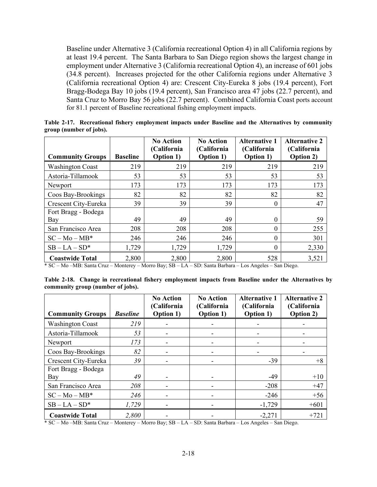Baseline under Alternative 3 (California recreational Option 4) in all California regions by at least 19.4 percent. The Santa Barbara to San Diego region shows the largest change in employment under Alternative 3 (California recreational Option 4), an increase of 601 jobs (34.8 percent). Increases projected for the other California regions under Alternative 3 (California recreational Option 4) are: Crescent City-Eureka 8 jobs (19.4 percent), Fort Bragg-Bodega Bay 10 jobs (19.4 percent), San Francisco area 47 jobs (22.7 percent), and Santa Cruz to Morro Bay 56 jobs (22.7 percent). Combined California Coast ports account for 81.1 percent of Baseline recreational fishing employment impacts.

<span id="page-33-0"></span>**Table 2-17. Recreational fishery employment impacts under Baseline and the Alternatives by community group (number of jobs).**

| <b>Community Groups</b>    | <b>Baseline</b> | <b>No Action</b><br>(California<br><b>Option 1)</b> | <b>No Action</b><br>(California<br><b>Option 1)</b> | <b>Alternative 1</b><br>(California<br><b>Option 1)</b> | <b>Alternative 2</b><br>(California<br><b>Option 2)</b> |
|----------------------------|-----------------|-----------------------------------------------------|-----------------------------------------------------|---------------------------------------------------------|---------------------------------------------------------|
| <b>Washington Coast</b>    | 219             | 219                                                 | 219                                                 | 219                                                     | 219                                                     |
| Astoria-Tillamook          | 53              | 53                                                  | 53                                                  | 53                                                      | 53                                                      |
| Newport                    | 173             | 173                                                 | 173                                                 | 173                                                     | 173                                                     |
| Coos Bay-Brookings         | 82              | 82                                                  | 82                                                  | 82                                                      | 82                                                      |
| Crescent City-Eureka       | 39              | 39                                                  | 39                                                  | 0                                                       | 47                                                      |
| Fort Bragg - Bodega<br>Bay | 49              | 49                                                  | 49                                                  | 0                                                       | 59                                                      |
| San Francisco Area         | 208             | 208                                                 | 208                                                 | 0                                                       | 255                                                     |
| $SC - Mo - MB^*$           | 246             | 246                                                 | 246                                                 | $\theta$                                                | 301                                                     |
| $SB-LA-SD*$                | 1,729           | 1,729                                               | 1,729                                               |                                                         | 2,330                                                   |
| <b>Coastwide Total</b>     | 2,800           | 2,800                                               | 2,800                                               | 528                                                     | 3,521                                                   |

\* SC – Mo –MB: Santa Cruz – Monterey – Morro Bay; SB – LA – SD: Santa Barbara – Los Angeles – San Diego.

<span id="page-33-1"></span>**Table 2-18. Change in recreational fishery employment impacts from Baseline under the Alternatives by community group (number of jobs).**

|                         |                 | <b>No Action</b><br>(California | <b>No Action</b><br>(California | <b>Alternative 1</b><br>(California | <b>Alternative 2</b><br>(California |
|-------------------------|-----------------|---------------------------------|---------------------------------|-------------------------------------|-------------------------------------|
| <b>Community Groups</b> | <b>Baseline</b> | Option 1)                       | Option 1)                       | Option 1)                           | Option 2)                           |
| <b>Washington Coast</b> | 219             | $\overline{\phantom{a}}$        | $\overline{\phantom{a}}$        |                                     |                                     |
| Astoria-Tillamook       | 53              |                                 |                                 |                                     |                                     |
| Newport                 | 173             |                                 |                                 |                                     |                                     |
| Coos Bay-Brookings      | 82              |                                 |                                 |                                     |                                     |
| Crescent City-Eureka    | 39              | $\overline{\phantom{a}}$        | $\overline{\phantom{a}}$        | $-39$                               | $+8$                                |
| Fort Bragg - Bodega     |                 |                                 |                                 |                                     |                                     |
| Bay                     | 49              |                                 |                                 | $-49$                               | $+10$                               |
| San Francisco Area      | 208             |                                 |                                 | $-208$                              | $+47$                               |
| $SC - Mo - MB^*$        | 246             |                                 |                                 | $-246$                              | $+56$                               |
| $SB-LA-SD*$             | 1,729           |                                 |                                 | $-1,729$                            | $+601$                              |
| <b>Coastwide Total</b>  | 2,800           |                                 |                                 | $-2,271$                            | $+721$                              |

\* SC – Mo –MB: Santa Cruz – Monterey – Morro Bay; SB – LA – SD: Santa Barbara – Los Angeles – San Diego.